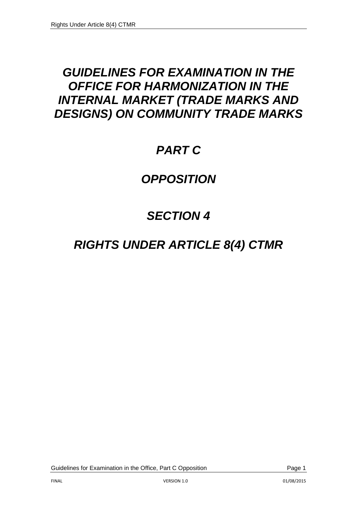# *GUIDELINES FOR EXAMINATION IN THE OFFICE FOR HARMONIZATION IN THE INTERNAL MARKET (TRADE MARKS AND DESIGNS) ON COMMUNITY TRADE MARKS*

# *PART C*

# *OPPOSITION*

# *SECTION 4*

# *RIGHTS UNDER ARTICLE 8(4) CTMR*

Guidelines for Examination in the Office, Part C Opposition **Page 1** Page 1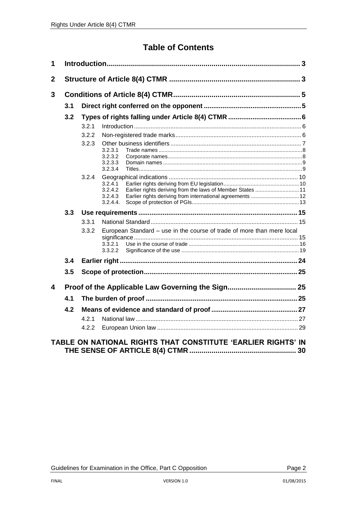# **Table of Contents**

| 1              |     |       |                                                                                              |  |
|----------------|-----|-------|----------------------------------------------------------------------------------------------|--|
| $\overline{2}$ |     |       |                                                                                              |  |
| 3              |     |       |                                                                                              |  |
|                | 3.1 |       |                                                                                              |  |
|                | 3.2 |       |                                                                                              |  |
|                |     | 3.2.1 |                                                                                              |  |
|                |     | 3.2.2 |                                                                                              |  |
|                |     | 3.2.3 | 3.2.3.1<br>3.2.3.2                                                                           |  |
|                |     |       | 3.2.3.3<br>3.2.3.4                                                                           |  |
|                |     | 3.2.4 | 3.2.4.1<br>3.2.4.2<br>3.2.4.3<br>3.2.4.4.                                                    |  |
|                | 3.3 |       |                                                                                              |  |
|                |     | 3.3.1 |                                                                                              |  |
|                |     | 3.3.2 | European Standard - use in the course of trade of more than mere local<br>3.3.2.1<br>3.3.2.2 |  |
|                | 3.4 |       |                                                                                              |  |
|                | 3.5 |       |                                                                                              |  |
| 4              |     |       |                                                                                              |  |
|                | 4.1 |       |                                                                                              |  |
|                | 4.2 |       |                                                                                              |  |
|                |     | 421   |                                                                                              |  |
|                |     | 4.2.2 |                                                                                              |  |
|                |     |       | TABLE ON NATIONAL RIGHTS THAT CONSTITUTE 'EARLIER RIGHTS' IN                                 |  |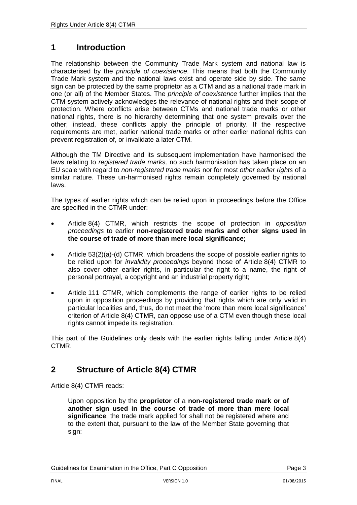# <span id="page-2-0"></span>**1 Introduction**

The relationship between the Community Trade Mark system and national law is characterised by the *principle of coexistence*. This means that both the Community Trade Mark system and the national laws exist and operate side by side. The same sign can be protected by the same proprietor as a CTM and as a national trade mark in one (or all) of the Member States. The *principle of coexistence* further implies that the CTM system actively acknowledges the relevance of national rights and their scope of protection. Where conflicts arise between CTMs and national trade marks or other national rights, there is no hierarchy determining that one system prevails over the other; instead, these conflicts apply the principle of priority. If the respective requirements are met, earlier national trade marks or other earlier national rights can prevent registration of, or invalidate a later CTM.

Although the TM Directive and its subsequent implementation have harmonised the laws relating to *registered trade marks,* no such harmonisation has taken place on an EU scale with regard to *non-registered trade marks* nor for most *other earlier rights* of a similar nature. These un-harmonised rights remain completely governed by national laws.

The types of earlier rights which can be relied upon in proceedings before the Office are specified in the CTMR under:

- Article 8(4) CTMR, which restricts the scope of protection in *opposition proceedings* to earlier **non-registered trade marks and other signs used in the course of trade of more than mere local significance;**
- Article 53(2)(a)-(d) CTMR, which broadens the scope of possible earlier rights to be relied upon for *invalidity proceedings* beyond those of Article 8(4) CTMR to also cover other earlier rights, in particular the right to a name, the right of personal portrayal, a copyright and an industrial property right;
- Article 111 CTMR, which complements the range of earlier rights to be relied upon in opposition proceedings by providing that rights which are only valid in particular localities and, thus, do not meet the 'more than mere local significance' criterion of Article 8(4) CTMR, can oppose use of a CTM even though these local rights cannot impede its registration.

This part of the Guidelines only deals with the earlier rights falling under Article 8(4) CTMR.

# <span id="page-2-1"></span>**2 Structure of Article 8(4) CTMR**

Article 8(4) CTMR reads:

Upon opposition by the **proprietor** of a **non-registered trade mark or of another sign used in the course of trade of more than mere local significance**, the trade mark applied for shall not be registered where and to the extent that, pursuant to the law of the Member State governing that sign: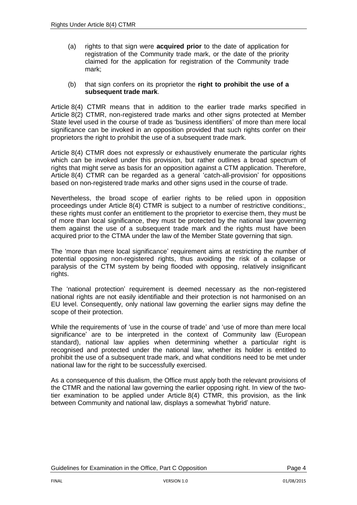(a) rights to that sign were **acquired prior** to the date of application for registration of the Community trade mark, or the date of the priority claimed for the application for registration of the Community trade mark;

#### (b) that sign confers on its proprietor the **right to prohibit the use of a subsequent trade mark**.

Article 8(4) CTMR means that in addition to the earlier trade marks specified in Article 8(2) CTMR, non-registered trade marks and other signs protected at Member State level used in the course of trade as 'business identifiers' of more than mere local significance can be invoked in an opposition provided that such rights confer on their proprietors the right to prohibit the use of a subsequent trade mark.

Article 8(4) CTMR does not expressly or exhaustively enumerate the particular rights which can be invoked under this provision, but rather outlines a broad spectrum of rights that might serve as basis for an opposition against a CTM application. Therefore, Article 8(4) CTMR can be regarded as a general 'catch-all-provision' for oppositions based on non-registered trade marks and other signs used in the course of trade.

Nevertheless, the broad scope of earlier rights to be relied upon in opposition proceedings under Article 8(4) CTMR is subject to a number of restrictive conditions:, these rights must confer an entitlement to the proprietor to exercise them, they must be of more than local significance, they must be protected by the national law governing them against the use of a subsequent trade mark and the rights must have been acquired prior to the CTMA under the law of the Member State governing that sign.

The 'more than mere local significance' requirement aims at restricting the number of potential opposing non-registered rights, thus avoiding the risk of a collapse or paralysis of the CTM system by being flooded with opposing, relatively insignificant rights.

The 'national protection' requirement is deemed necessary as the non-registered national rights are not easily identifiable and their protection is not harmonised on an EU level. Consequently, only national law governing the earlier signs may define the scope of their protection.

While the requirements of 'use in the course of trade' and 'use of more than mere local significance' are to be interpreted in the context of Community law (European standard), national law applies when determining whether a particular right is recognised and protected under the national law, whether its holder is entitled to prohibit the use of a subsequent trade mark, and what conditions need to be met under national law for the right to be successfully exercised.

As a consequence of this dualism, the Office must apply both the relevant provisions of the CTMR and the national law governing the earlier opposing right. In view of the twotier examination to be applied under Article 8(4) CTMR, this provision, as the link between Community and national law, displays a somewhat 'hybrid' nature.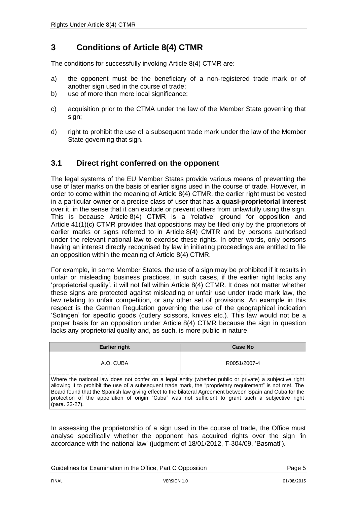# <span id="page-4-0"></span>**3 Conditions of Article 8(4) CTMR**

The conditions for successfully invoking Article 8(4) CTMR are:

- a) the opponent must be the beneficiary of a non-registered trade mark or of another sign used in the course of trade;
- b) use of more than mere local significance;
- c) acquisition prior to the CTMA under the law of the Member State governing that sign;
- d) right to prohibit the use of a subsequent trade mark under the law of the Member State governing that sign.

# <span id="page-4-1"></span>**3.1 Direct right conferred on the opponent**

The legal systems of the EU Member States provide various means of preventing the use of later marks on the basis of earlier signs used in the course of trade. However, in order to come within the meaning of Article 8(4) CTMR, the earlier right must be vested in a particular owner or a precise class of user that has **a quasi-proprietorial interest** over it, in the sense that it can exclude or prevent others from unlawfully using the sign. This is because Article 8(4) CTMR is a 'relative' ground for opposition and Article 41(1)(c) CTMR provides that oppositions may be filed only by the proprietors of earlier marks or signs referred to in Article 8(4) CMTR and by persons authorised under the relevant national law to exercise these rights. In other words, only persons having an interest directly recognised by law in initiating proceedings are entitled to file an opposition within the meaning of Article 8(4) CTMR.

For example, in some Member States, the use of a sign may be prohibited if it results in unfair or misleading business practices. In such cases, if the earlier right lacks any 'proprietorial quality', it will not fall within Article 8(4) CTMR. It does not matter whether these signs are protected against misleading or unfair use under trade mark law, the law relating to unfair competition, or any other set of provisions. An example in this respect is the German Regulation governing the use of the geographical indication 'Solingen' for specific goods (cutlery scissors, knives etc.). This law would not be a proper basis for an opposition under Article 8(4) CTMR because the sign in question lacks any proprietorial quality and, as such, is more public in nature.

| <b>Earlier right</b>                                                                                                                                                                                                                                                                                                                                                                                                                                     | <b>Case No</b> |  |
|----------------------------------------------------------------------------------------------------------------------------------------------------------------------------------------------------------------------------------------------------------------------------------------------------------------------------------------------------------------------------------------------------------------------------------------------------------|----------------|--|
| A.O. CUBA                                                                                                                                                                                                                                                                                                                                                                                                                                                | R0051/2007-4   |  |
| Where the national law does not confer on a legal entity (whether public or private) a subjective right<br>allowing it to prohibit the use of a subsequent trade mark, the "proprietary requirement" is not met. The<br>Board found that the Spanish law giving effect to the bilateral Agreement between Spain and Cuba for the<br>protection of the appellation of origin "Cuba" was not sufficient to grant such a subjective right<br>(para. 23-27). |                |  |

In assessing the proprietorship of a sign used in the course of trade, the Office must analyse specifically whether the opponent has acquired rights over the sign 'in accordance with the national law' (judgment of 18/01/2012, T-304/09, 'Basmati').

Guidelines for Examination in the Office, Part C Opposition **Page 5** Page 5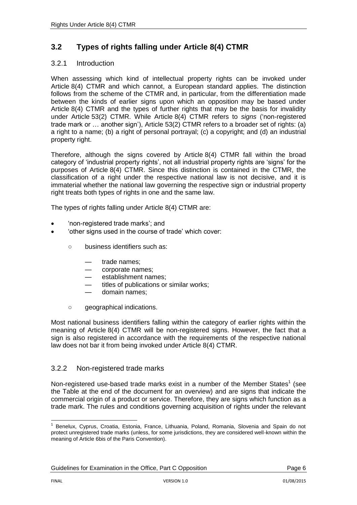# <span id="page-5-0"></span>**3.2 Types of rights falling under Article 8(4) CTMR**

#### <span id="page-5-1"></span>3.2.1 Introduction

When assessing which kind of intellectual property rights can be invoked under Article 8(4) CTMR and which cannot, a European standard applies. The distinction follows from the scheme of the CTMR and, in particular, from the differentiation made between the kinds of earlier signs upon which an opposition may be based under Article 8(4) CTMR and the types of further rights that may be the basis for invalidity under Article 53(2) CTMR. While Article 8(4) CTMR refers to *signs* ('non-registered trade mark or … another sign'), Article 53(2) CTMR refers to a broader set of rights: (a) a right to a name; (b) a right of personal portrayal; (c) a copyright; and (d) an industrial property right.

Therefore, although the signs covered by Article 8(4) CTMR fall within the broad category of 'industrial property rights', not all industrial property rights are 'signs' for the purposes of Article 8(4) CTMR. Since this distinction is contained in the CTMR, the classification of a right under the respective national law is not decisive, and it is immaterial whether the national law governing the respective sign or industrial property right treats both types of rights in one and the same law.

The types of rights falling under Article 8(4) CTMR are:

- 'non-registered trade marks'; and
- 'other signs used in the course of trade' which cover:
	- business identifiers such as:
		- trade names:
		- corporate names;
		- establishment names;
		- titles of publications or similar works;
		- domain names;
	- geographical indications.

Most national business identifiers falling within the category of earlier rights within the meaning of Article 8(4) CTMR will be non-registered signs. However, the fact that a sign is also registered in accordance with the requirements of the respective national law does not bar it from being invoked under Article 8(4) CTMR.

### <span id="page-5-2"></span>3.2.2 Non-registered trade marks

Non-registered use-based trade marks exist in a number of the Member States<sup>1</sup> (see the Table at the end of the document for an overview) and are signs that indicate the commercial origin of a product or service. Therefore, they are signs which function as a trade mark. The rules and conditions governing acquisition of rights under the relevant

 $\frac{1}{1}$ Benelux, Cyprus, Croatia, Estonia, France, Lithuania, Poland, Romania, Slovenia and Spain do not protect unregistered trade marks (unless, for some jurisdictions, they are considered well-known within the meaning of Article 6bis of the Paris Convention).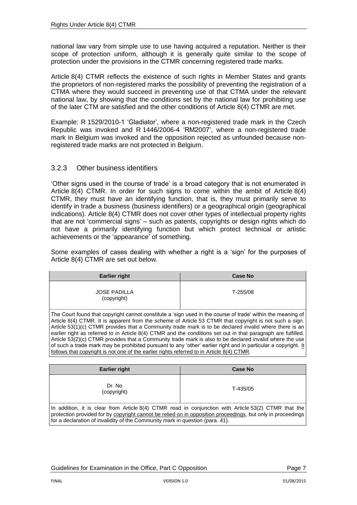national law vary from simple use to use having acquired a reputation. Neither is their scope of protection uniform, although it is generally quite similar to the scope of protection under the provisions in the CTMR concerning registered trade marks.

Article 8(4) CTMR reflects the existence of such rights in Member States and grants the proprietors of non-registered marks the possibility of preventing the registration of a CTMA where they would succeed in preventing use of that CTMA under the relevant national law, by showing that the conditions set by the national law for prohibiting use of the later CTM are satisfied and the other conditions of Article 8(4) CTMR are met.

Example: R 1529/2010-1 'Gladiator', where a non-registered trade mark in the Czech Republic was invoked and R 1446/2006-4 'RM2007', where a non-registered trade mark in Belgium was invoked and the opposition rejected as unfounded because nonregistered trade marks are not protected in Belgium.

#### <span id="page-6-0"></span>3.2.3 Other business identifiers

'Other signs used in the course of trade' is a broad category that is not enumerated in Article 8(4) CTMR. In order for such signs to come within the ambit of Article 8(4) CTMR, they must have an identifying function, that is, they must primarily serve to identify in trade a business (business identifiers) or a geographical origin (geographical indications). Article 8(4) CTMR does not cover other types of intellectual property rights that are not 'commercial signs' – such as patents, copyrights or design rights which do not have a primarily identifying function but which protect technical or artistic achievements or the 'appearance' of something.

Some examples of cases dealing with whether a right is a 'sign' for the purposes of Article 8(4) CTMR are set out below.

| <b>Earlier right</b>                                                                                                                                                                                                                                                                                                                                                                                                                                                                                                                                                                                                                                                                                                                                                        | <b>Case No</b> |  |
|-----------------------------------------------------------------------------------------------------------------------------------------------------------------------------------------------------------------------------------------------------------------------------------------------------------------------------------------------------------------------------------------------------------------------------------------------------------------------------------------------------------------------------------------------------------------------------------------------------------------------------------------------------------------------------------------------------------------------------------------------------------------------------|----------------|--|
| <b>JOSE PADILLA</b><br>(copyright)                                                                                                                                                                                                                                                                                                                                                                                                                                                                                                                                                                                                                                                                                                                                          | T-255/08       |  |
| The Court found that copyright cannot constitute a 'sign used in the course of trade' within the meaning of<br>Article 8(4) CTMR. It is apparent from the scheme of Article 53 CTMR that copyright is not such a sign.<br>Article 53(1)(c) CTMR provides that a Community trade mark is to be declared invalid where there is an<br>earlier right as referred to in Article 8(4) CTMR and the conditions set out in that paragraph are fulfilled.<br>Article 53(2)(c) CTMR provides that a Community trade mark is also to be declared invalid where the use<br>of such a trade mark may be prohibited pursuant to any 'other' earlier right and in particular a copyright. It<br>follows that copyright is not one of the earlier rights referred to in Article 8(4) CTMR. |                |  |

| <b>Earlier right</b>                                                                                                                                                                                                                                                                                 | <b>Case No</b> |
|------------------------------------------------------------------------------------------------------------------------------------------------------------------------------------------------------------------------------------------------------------------------------------------------------|----------------|
| Dr. No<br>(copyright)                                                                                                                                                                                                                                                                                | T-435/05       |
| In addition, it is clear from Article 8(4) CTMR read in conjunction with Article 53(2) CTMR that the<br>protection provided for by copyright cannot be relied on in opposition proceedings, but only in proceedings<br>for a declaration of invalidity of the Community mark in question (para. 41). |                |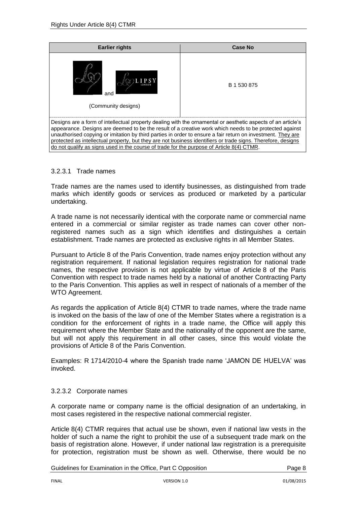| <b>Earlier rights</b>                                                                                                                                                                                                                                                                                                                                                                                                                                                                                                                              | Case No     |  |
|----------------------------------------------------------------------------------------------------------------------------------------------------------------------------------------------------------------------------------------------------------------------------------------------------------------------------------------------------------------------------------------------------------------------------------------------------------------------------------------------------------------------------------------------------|-------------|--|
| and<br>(Community designs)                                                                                                                                                                                                                                                                                                                                                                                                                                                                                                                         | B 1 530 875 |  |
| Designs are a form of intellectual property dealing with the ornamental or aesthetic aspects of an article's<br>appearance. Designs are deemed to be the result of a creative work which needs to be protected against<br>unauthorised copying or imitation by third parties in order to ensure a fair return on investment. They are<br>protected as intellectual property, but they are not business identifiers or trade signs. Therefore, designs<br>do not qualify as signs used in the course of trade for the purpose of Article 8(4) CTMR. |             |  |

#### <span id="page-7-0"></span>3.2.3.1 Trade names

Trade names are the names used to identify businesses, as distinguished from trade marks which identify goods or services as produced or marketed by a particular undertaking.

A trade name is not necessarily identical with the corporate name or commercial name entered in a commercial or similar register as trade names can cover other nonregistered names such as a sign which identifies and distinguishes a certain establishment. Trade names are protected as exclusive rights in all Member States.

Pursuant to Article 8 of the Paris Convention, trade names enjoy protection without any registration requirement. If national legislation requires registration for national trade names, the respective provision is not applicable by virtue of Article 8 of the Paris Convention with respect to trade names held by a national of another Contracting Party to the Paris Convention. This applies as well in respect of nationals of a member of the WTO Agreement.

As regards the application of Article 8(4) CTMR to trade names, where the trade name is invoked on the basis of the law of one of the Member States where a registration is a condition for the enforcement of rights in a trade name, the Office will apply this requirement where the Member State and the nationality of the opponent are the same, but will not apply this requirement in all other cases, since this would violate the provisions of Article 8 of the Paris Convention.

Examples: R 1714/2010-4 where the Spanish trade name 'JAMON DE HUELVA' was invoked.

#### <span id="page-7-1"></span>3.2.3.2 Corporate names

A corporate name or company name is the official designation of an undertaking, in most cases registered in the respective national commercial register.

Article 8(4) CTMR requires that actual use be shown, even if national law vests in the holder of such a name the right to prohibit the use of a subsequent trade mark on the basis of registration alone. However, if under national law registration is a prerequisite for protection, registration must be shown as well. Otherwise, there would be no

Guidelines for Examination in the Office, Part C Opposition **Page 8** Page 8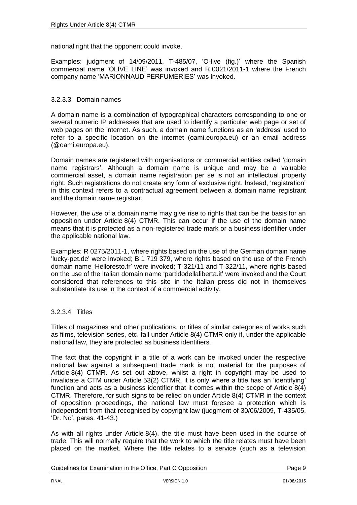national right that the opponent could invoke.

Examples: judgment of 14/09/2011, T-485/07, 'O-live (fig.)' where the Spanish commercial name 'OLIVE LINE' was invoked and R 0021/2011-1 where the French company name 'MARIONNAUD PERFUMERIES' was invoked.

#### <span id="page-8-0"></span>3.2.3.3 Domain names

A domain name is a combination of typographical characters corresponding to one or several numeric IP addresses that are used to identify a particular web page or set of web pages on the internet. As such, a domain name functions as an 'address' used to refer to a specific location on the internet (oami.europa.eu) or an email address (@oami.europa.eu).

Domain names are registered with organisations or commercial entities called 'domain name registrars'. Although a domain name is unique and may be a valuable commercial asset, a domain name registration per se is not an intellectual property right. Such registrations do not create any form of exclusive right. Instead, 'registration' in this context refers to a contractual agreement between a domain name registrant and the domain name registrar.

However, the *use* of a domain name may give rise to rights that can be the basis for an opposition under Article 8(4) CTMR. This can occur if the use of the domain name means that it is protected as a non-registered trade mark or a business identifier under the applicable national law.

Examples: R 0275/2011-1, where rights based on the use of the German domain name 'lucky-pet.de' were invoked; B 1 719 379, where rights based on the use of the French domain name 'Helloresto.fr' were invoked; T-321/11 and T-322/11, where rights based on the use of the Italian domain name 'partidodellaliberta.it' were invoked and the Court considered that references to this site in the Italian press did not in themselves substantiate its use in the context of a commercial activity.

#### <span id="page-8-1"></span>3.2.3.4 Titles

Titles of magazines and other publications, or titles of similar categories of works such as films, television series, etc. fall under Article 8(4) CTMR only if, under the applicable national law, they are protected as business identifiers.

The fact that the copyright in a title of a work can be invoked under the respective national law against a subsequent trade mark is not material for the purposes of Article 8(4) CTMR. As set out above, whilst a right in copyright may be used to invalidate a CTM under Article 53(2) CTMR, it is only where a title has an 'identifying' function and acts as a business identifier that it comes within the scope of Article 8(4) CTMR. Therefore, for such signs to be relied on under Article 8(4) CTMR in the context of opposition proceedings, the national law must foresee a protection which is independent from that recognised by copyright law (judgment of 30/06/2009, T-435/05, 'Dr. No', paras. 41-43.)

As with all rights under Article 8(4), the title must have been used in the course of trade. This will normally require that the work to which the title relates must have been placed on the market. Where the title relates to a service (such as a television

Guidelines for Examination in the Office, Part C Opposition **Page 9** Page 9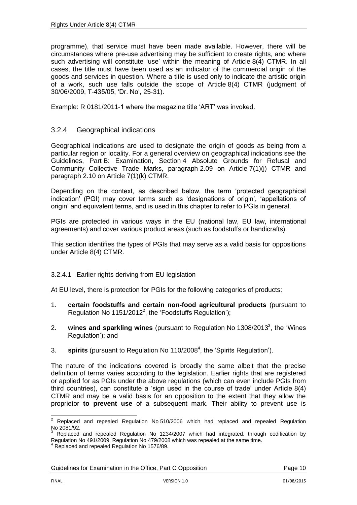programme), that service must have been made available. However, there will be circumstances where pre-use advertising may be sufficient to create rights, and where such advertising will constitute 'use' within the meaning of Article 8(4) CTMR. In all cases, the title must have been used as an indicator of the commercial origin of the goods and services in question. Where a title is used only to indicate the artistic origin of a work, such use falls outside the scope of Article 8(4) CTMR (judgment of 30/06/2009, T-435/05, 'Dr. No', 25-31).

Example: R 0181/2011-1 where the magazine title 'ART' was invoked.

#### <span id="page-9-0"></span>3.2.4 Geographical indications

Geographical indications are used to designate the origin of goods as being from a particular region or locality. For a general overview on geographical indications see the Guidelines, Part B: Examination, Section 4 Absolute Grounds for Refusal and Community Collective Trade Marks, paragraph 2.09 on Article 7(1)(j) CTMR and paragraph 2.10 on Article 7(1)(k) CTMR.

Depending on the context, as described below, the term 'protected geographical indication' (PGI) may cover terms such as 'designations of origin', 'appellations of origin' and equivalent terms, and is used in this chapter to refer to PGIs in general.

PGIs are protected in various ways in the EU (national law, EU law, international agreements) and cover various product areas (such as foodstuffs or handicrafts).

This section identifies the types of PGIs that may serve as a valid basis for oppositions under Article 8(4) CTMR.

#### <span id="page-9-1"></span>3.2.4.1 Earlier rights deriving from EU legislation

At EU level, there is protection for PGIs for the following categories of products:

- 1. **certain foodstuffs and certain non-food agricultural products** (pursuant to Regulation No 1151/2012<sup>2</sup>, the 'Foodstuffs Regulation');
- 2. **wines and sparkling wines** (pursuant to Regulation No 1308/2013<sup>3</sup>, the 'Wines Regulation'); and
- 3. **spirits** (pursuant to Regulation No 110/2008<sup>4</sup> , the 'Spirits Regulation').

The nature of the indications covered is broadly the same albeit that the precise definition of terms varies according to the legislation. Earlier rights that are registered or applied for as PGIs under the above regulations (which can even include PGIs from third countries), can constitute a 'sign used in the course of trade' under Article 8(4) CTMR and may be a valid basis for an opposition to the extent that they allow the proprietor **to prevent use** of a subsequent mark. Their ability to prevent use is

 $\overline{2}$ <sup>2</sup> Replaced and repealed Regulation No 510/2006 which had replaced and repealed Regulation No 2081/92.

Replaced and repealed Regulation No 1234/2007 which had integrated, through codification by Regulation No 491/2009, Regulation No 479/2008 which was repealed at the same time.

<sup>&</sup>lt;sup>4</sup> Replaced and repealed Regulation No 1576/89.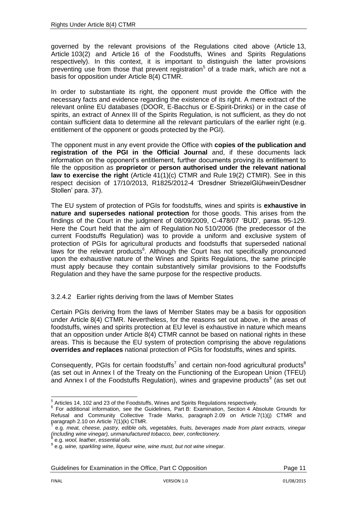governed by the relevant provisions of the Regulations cited above (Article 13, Article 103(2) and Article 16 of the Foodstuffs, Wines and Spirits Regulations respectively). In this context, it is important to distinguish the latter provisions preventing use from those that prevent registration<sup>5</sup> of a trade mark, which are not a basis for opposition under Article 8(4) CTMR.

In order to substantiate its right, the opponent must provide the Office with the necessary facts and evidence regarding the existence of its right. A mere extract of the relevant online EU databases (DOOR, E-Bacchus or E-Spirit-Drinks) or in the case of spirits, an extract of Annex III of the Spirits Regulation, is not sufficient, as they do not contain sufficient data to determine all the relevant particulars of the earlier right (e.g. entitlement of the opponent or goods protected by the PGI).

The opponent must in any event provide the Office with **copies of the publication and registration of the PGI in the Official Journal** and, if these documents lack information on the opponent's entitlement, further documents proving its entitlement to file the opposition as **proprietor** or **person authorised under the relevant national law to exercise the right** (Article 41(1)(c) CTMR and Rule 19(2) CTMIR). See in this respect decision of 17/10/2013, R1825/2012-4 'Dresdner StriezelGlühwein/Desdner Stollen' para. 37).

The EU system of protection of PGIs for foodstuffs, wines and spirits is **exhaustive in nature and supersedes national protection** for those goods. This arises from the findings of the Court in the judgment of 08/09/2009, C-478/07 'BUD', paras. 95-129. Here the Court held that the aim of Regulation No 510/2006 (the predecessor of the current Foodstuffs Regulation) was to provide a uniform and exclusive system of protection of PGIs for agricultural products and foodstuffs that superseded national laws for the relevant products<sup>6</sup>. Although the Court has not specifically pronounced upon the exhaustive nature of the Wines and Spirits Regulations, the same principle must apply because they contain substantively similar provisions to the Foodstuffs Regulation and they have the same purpose for the respective products.

<span id="page-10-0"></span>3.2.4.2 Earlier rights deriving from the laws of Member States

Certain PGIs deriving from the laws of Member States may be a basis for opposition under Article 8(4) CTMR. Nevertheless, for the reasons set out above, in the areas of foodstuffs, wines and spirits protection at EU level is exhaustive in nature which means that an opposition under Article 8(4) CTMR cannot be based on national rights in these areas. This is because the EU system of protection comprising the above regulations **overrides** *and* **replaces** national protection of PGIs for foodstuffs, wines and spirits.

Consequently, PGIs for certain foodstuffs<sup>7</sup> and certain non-food agricultural products<sup>8</sup> (as set out in Annex I of the Treaty on the Functioning of the European Union (TFEU) and Annex I of the Foodstuffs Regulation), wines and grapevine products<sup>9</sup> (as set out

Guidelines for Examination in the Office, Part C Opposition **Page 11** Page 11

 5 Articles 14, 102 and 23 of the Foodstuffs, Wines and Spirits Regulations respectively.

<sup>&</sup>lt;sup>6</sup> For additional information, see the Guidelines, Part B: Examination, Section 4 Absolute Grounds for Refusal and Community Collective Trade Marks, paragraph 2.09 on Article 7(1)(j) CTMR and paragraph 2.10 on Article 7(1)(k) CTMR.

e.g. *meat, cheese, pastry, edible oils, vegetables, fruits, beverages made from plant extracts, vinegar (including wine vinegar), unmanufactured tobacco, beer, confectionery.* 8

e.g. *wool, leather, essential oils.*

<sup>9</sup> e.g. *wine, sparkling wine, liqueur wine, wine must, but not wine vinegar.*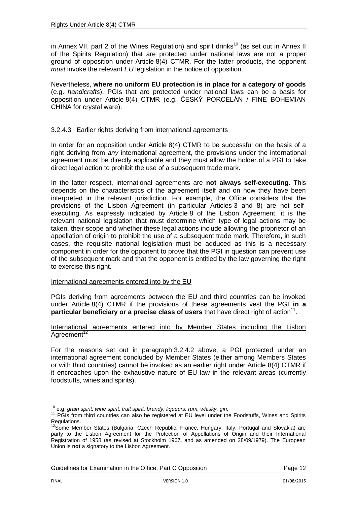in Annex VII, part 2 of the Wines Regulation) and spirit drinks<sup>10</sup> (as set out in Annex II of the Spirits Regulation) that are protected under national laws are not a proper ground of opposition under Article 8(4) CTMR. For the latter products, the opponent *must* invoke the relevant *EU* legislation in the notice of opposition.

Nevertheless, **where no uniform EU protection is in place for a category of goods** (e.g. *handicrafts*), PGIs that are protected under national laws can be a basis for opposition under Article 8(4) CTMR (e.g. ČESKÝ PORCELÁN / FINE BOHEMIAN CHINA for crystal ware).

#### <span id="page-11-0"></span>3.2.4.3 Earlier rights deriving from international agreements

In order for an opposition under Article 8(4) CTMR to be successful on the basis of a right deriving from *any* international agreement, the provisions under the international agreement must be directly applicable and they must allow the holder of a PGI to take direct legal action to prohibit the use of a subsequent trade mark.

In the latter respect, international agreements are **not always self-executing**. This depends on the characteristics of the agreement itself and on how they have been interpreted in the relevant jurisdiction. For example, the Office considers that the provisions of the Lisbon Agreement (in particular Articles 3 and 8) are not selfexecuting. As expressly indicated by Article 8 of the Lisbon Agreement, it is the relevant national legislation that must determine which type of legal actions may be taken, their scope and whether these legal actions include allowing the proprietor of an appellation of origin to prohibit the use of a subsequent trade mark. Therefore, in such cases, the requisite national legislation must be adduced as this is a necessary component in order for the opponent to prove that the PGI in question can prevent use of the subsequent mark and that the opponent is entitled by the law governing the right to exercise this right.

#### International agreements entered into by the EU

PGIs deriving from agreements between the EU and third countries can be invoked under Article 8(4) CTMR if the provisions of these agreements vest the PGI **in a**  particular beneficiary or a precise class of users that have direct right of action<sup>11</sup>.

#### International agreements entered into by Member States including the Lisbon Agreement<sup>12</sup>

For the reasons set out in paragraph 3.2.4.2 above, a PGI protected under an international agreement concluded by Member States (either among Members States or with third countries) cannot be invoked as an earlier right under Article 8(4) CTMR if it encroaches upon the exhaustive nature of EU law in the relevant areas (currently foodstuffs, wines and spirits).

<sup>1</sup> <sup>10</sup> e.g. *grain spirit, wine spirit, fruit spirit, brandy, liqueurs, rum, whisky, gin.*

<sup>&</sup>lt;sup>11</sup> PGIs from third countries can also be registered at EU level under the Foodstuffs, Wines and Spirits Regulations.

Some Member States (Bulgaria, Czech Republic, France, Hungary, Italy, Portugal and Slovakia) are party to the Lisbon Agreement for the Protection of Appellations of Origin and their International Registration of 1958 (as revised at Stockholm 1967, and as amended on 28/09/1979). The European Union is **not** a signatory to the Lisbon Agreement.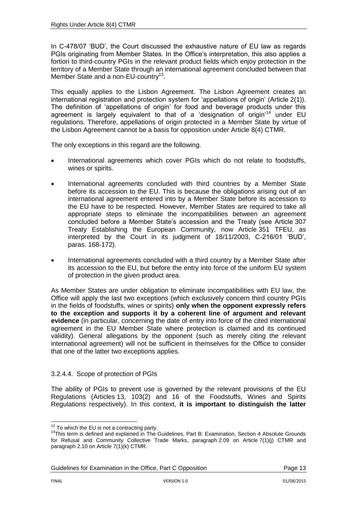In C-478/07 'BUD', the Court discussed the exhaustive nature of EU law as regards PGIs originating from Member States. In the Office's interpretation, this also applies a fortiori to third-country PGIs in the relevant product fields which enjoy protection in the territory of a Member State through an international agreement concluded between that Member State and a non-EU-country<sup>13</sup>.

This equally applies to the Lisbon Agreement. The Lisbon Agreement creates an international registration and protection system for 'appellations of origin' (Article 2(1)). The definition of 'appellations of origin' for food and beverage products under this agreement is largely equivalent to that of a 'designation of origin'<sup>14</sup> under EU regulations. Therefore, appellations of origin protected in a Member State by virtue of the Lisbon Agreement cannot be a basis for opposition under Article 8(4) CTMR.

The only exceptions in this regard are the following.

- International agreements which cover PGIs which do not relate to foodstuffs, wines or spirits.
- International agreements concluded with third countries by a Member State before its accession to the EU. This is because the obligations arising out of an international agreement entered into by a Member State before its accession to the EU have to be respected. However, Member States are required to take all appropriate steps to eliminate the incompatibilities between an agreement concluded before a Member State's accession and the Treaty (see Article 307 Treaty Establishing the European Community, now Article 351 TFEU, as interpreted by the Court in its judgment of 18/11/2003, C-216/01 'BUD', paras. 168-172).
- International agreements concluded with a third country by a Member State after its accession to the EU, but before the entry into force of the uniform EU system of protection in the given product area.

As Member States are under obligation to eliminate incompatibilities with EU law, the Office will apply the last two exceptions (which exclusively concern third country PGIs in the fields of foodstuffs, wines or spirits) **only when the opponent expressly refers to the exception and supports it by a coherent line of argument and relevant evidence** (in particular, concerning the date of entry into force of the cited international agreement in the EU Member State where protection is claimed and its continued validity). General allegations by the opponent (such as merely citing the relevant international agreement) will not be sufficient in themselves for the Office to consider that one of the latter two exceptions applies.

#### <span id="page-12-0"></span>3.2.4.4. Scope of protection of PGIs

The ability of PGIs to prevent use is governed by the relevant provisions of the EU Regulations (Articles 13, 103(2) and 16 of the Foodstuffs, Wines and Spirits Regulations respectively). In this context, **it is important to distinguish the latter** 

Guidelines for Examination in the Office, Part C Opposition **Page 13** Page 13

1

 $13$  To which the EU is not a contracting party.

<sup>&</sup>lt;sup>14</sup>This term is defined and explained in The Guidelines, Part B: Examination, Section 4 Absolute Grounds for Refusal and Community Collective Trade Marks, paragraph 2.09 on Article 7(1)(j) CTMR and paragraph 2.10 on Article 7(1)(k) CTMR.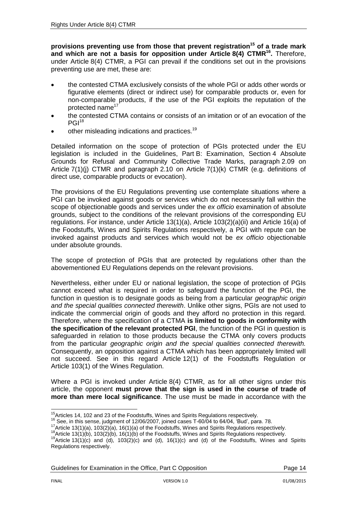**provisions preventing use from those that prevent registration<sup>15</sup> of a trade mark and which are not a basis for opposition under Article 8(4) CTMR<sup>16</sup> .** Therefore, under Article 8(4) CTMR, a PGI can prevail if the conditions set out in the provisions preventing use are met, these are:

- the contested CTMA exclusively consists of the whole PGI or adds other words or figurative elements (direct or indirect use) for comparable products or, even for non-comparable products, if the use of the PGI exploits the reputation of the protected name<sup>17</sup>
- the contested CTMA contains or consists of an imitation or of an evocation of the  $PGI<sup>18</sup>$
- other misleading indications and practices.<sup>19</sup>

Detailed information on the scope of protection of PGIs protected under the EU legislation is included in the Guidelines, Part B: Examination, Section 4 Absolute Grounds for Refusal and Community Collective Trade Marks, paragraph 2.09 on Article 7(1)(j) CTMR and paragraph 2.10 on Article 7(1)(k) CTMR (e.g. definitions of direct use, comparable products or evocation).

The provisions of the EU Regulations preventing use contemplate situations where a PGI can be invoked against goods or services which do not necessarily fall within the scope of objectionable goods and services under the *ex officio* examination of absolute grounds, subject to the conditions of the relevant provisions of the corresponding EU regulations. For instance, under Article 13(1)(a), Article 103(2)(a)(ii) and Article 16(a) of the Foodstuffs, Wines and Spirits Regulations respectively, a PGI with repute can be invoked against products and services which would not be *ex officio* objectionable under absolute grounds.

The scope of protection of PGIs that are protected by regulations other than the abovementioned EU Regulations depends on the relevant provisions.

Nevertheless, either under EU or national legislation, the scope of protection of PGIs cannot exceed what is required in order to safeguard the function of the PGI, the function in question is to designate goods as being from a particular *geographic origin and the special qualities connected therewith*. Unlike other signs, PGIs are not used to indicate the commercial origin of goods and they afford no protection in this regard. Therefore, where the specification of a CTMA **is limited to goods in conformity with the specification of the relevant protected PGI**, the function of the PGI in question is safeguarded in relation to those products because the CTMA only covers products from the particular *geographic origin and the special qualities connected therewith.*  Consequently, an opposition against a CTMA which has been appropriately limited will not succeed. See in this regard Article 12(1) of the Foodstuffs Regulation or Article 103(1) of the Wines Regulation.

Where a PGI is invoked under Article 8(4) CTMR, as for all other signs under this article, the opponent **must prove that the sign is used in the course of trade of more than mere local significance**. The use must be made in accordance with the

Guidelines for Examination in the Office, Part C Opposition **Page 14** Page 14

<sup>1</sup> <sup>15</sup> Articles 14, 102 and 23 of the Foodstuffs, Wines and Spirits Regulations respectively.

<sup>16</sup> See, in this sense, judgment of 12/06/2007, joined cases T-60/04 to 64/04, 'Bud', para. 78.

 $17$ Article 13(1)(a), 103(2)(a), 16(1)(a) of the Foodstuffs, Wines and Spirits Regulations respectively.

 $^{18}$ Article 13(1)(b), 103(2)(b), 16(1)(b) of the Foodstuffs, Wines and Spirits Regulations respectively.

<sup>&</sup>lt;sup>19</sup>Article 13(1)(c) and  $(d)$ , 103(2)(c) and (d), 16(1)(c) and (d) of the Foodstuffs, Wines and Spirits Regulations respectively.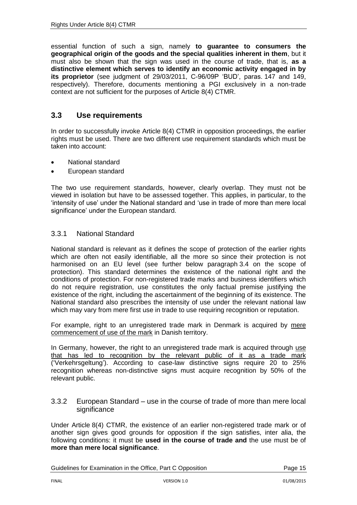essential function of such a sign, namely **to guarantee to consumers the geographical origin of the goods and the special qualities inherent in them**, but it must also be shown that the sign was used in the course of trade, that is, **as a distinctive element which serves to identify an economic activity engaged in by its proprietor** (see judgment of 29/03/2011, C-96/09P 'BUD', paras. 147 and 149, respectively). Therefore, documents mentioning a PGI exclusively in a non-trade context are not sufficient for the purposes of Article 8(4) CTMR.

### <span id="page-14-0"></span>**3.3 Use requirements**

In order to successfully invoke Article 8(4) CTMR in opposition proceedings, the earlier rights must be used. There are two different use requirement standards which must be taken into account:

- National standard
- European standard

The two use requirement standards, however, clearly overlap. They must not be viewed in isolation but have to be assessed together. This applies, in particular, to the 'intensity of use' under the National standard and 'use in trade of more than mere local significance' under the European standard.

#### <span id="page-14-1"></span>3.3.1 National Standard

National standard is relevant as it defines the scope of protection of the earlier rights which are often not easily identifiable, all the more so since their protection is not harmonised on an EU level (see further below paragraph 3.4 on the scope of protection). This standard determines the existence of the national right and the conditions of protection. For non-registered trade marks and business identifiers which do not require registration, use constitutes the only factual premise justifying the existence of the right, including the ascertainment of the beginning of its existence. The National standard also prescribes the intensity of use under the relevant national law which may vary from mere first use in trade to use requiring recognition or reputation.

For example, right to an unregistered trade mark in Denmark is acquired by mere commencement of use of the mark in Danish territory.

In Germany, however, the right to an unregistered trade mark is acquired through use that has led to recognition by the relevant public of it as a trade mark ('Verkehrsgeltung'). According to case-law distinctive signs require 20 to 25% recognition whereas non-distinctive signs must acquire recognition by 50% of the relevant public.

<span id="page-14-2"></span>3.3.2 European Standard – use in the course of trade of more than mere local significance

Under Article 8(4) CTMR, the existence of an earlier non-registered trade mark or of another sign gives good grounds for opposition if the sign satisfies, inter alia, the following conditions: it must be **used in the course of trade and** the use must be of **more than mere local significance**.

Guidelines for Examination in the Office, Part C Opposition **Page 15** Page 15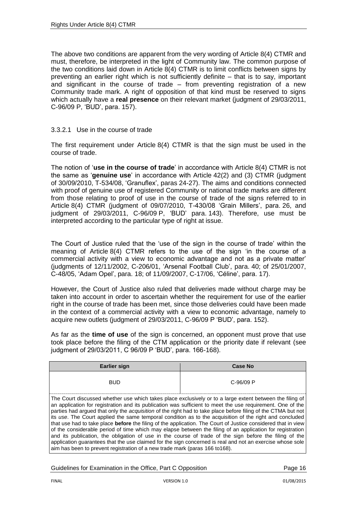The above two conditions are apparent from the very wording of Article 8(4) CTMR and must, therefore, be interpreted in the light of Community law. The common purpose of the two conditions laid down in Article 8(4) CTMR is to limit conflicts between signs by preventing an earlier right which is not sufficiently definite – that is to say, important and significant in the course of trade – from preventing registration of a new Community trade mark. A right of opposition of that kind must be reserved to signs which actually have a **real presence** on their relevant market (judgment of 29/03/2011, C-96/09 P, 'BUD', para. 157).

#### <span id="page-15-0"></span>3.3.2.1 Use in the course of trade

The first requirement under Article 8(4) CTMR is that the sign must be used in the course of trade.

The notion of '**use in the course of trade**' in accordance with Article 8(4) CTMR is not the same as '**genuine use**' in accordance with Article 42(2) and (3) CTMR (judgment of 30/09/2010, T-534/08, 'Granuflex', paras 24-27). The aims and conditions connected with proof of genuine use of registered Community or national trade marks are different from those relating to proof of use in the course of trade of the signs referred to in Article 8(4) CTMR (judgment of 09/07/2010, T-430/08 'Grain Millers', para. 26, and judgment of 29/03/2011, C-96/09 P, 'BUD' para. 143). Therefore, use must be interpreted according to the particular type of right at issue.

The Court of Justice ruled that the 'use of the sign in the course of trade' within the meaning of Article 8(4) CTMR refers to the use of the sign 'in the course of a commercial activity with a view to economic advantage and not as a private matter' (judgments of 12/11/2002, C-206/01, 'Arsenal Football Club', para. 40; of 25/01/2007, C-48/05, 'Adam Opel', para. 18; of 11/09/2007, C-17/06, 'Céline', para. 17).

However, the Court of Justice also ruled that deliveries made without charge may be taken into account in order to ascertain whether the requirement for use of the earlier right in the course of trade has been met, since those deliveries could have been made in the context of a commercial activity with a view to economic advantage, namely to acquire new outlets (judgment of 29/03/2011, C-96/09 P 'BUD', para. 152).

As far as the **time of use** of the sign is concerned, an opponent must prove that use took place before the filing of the CTM application or the priority date if relevant (see judgment of 29/03/2011, C 96/09 P 'BUD', para. 166-168).

| <b>Earlier sign</b>                                                                                                                                                                                                                                                                                                                                                                                                                                                                                                                                                                                                                                                                                                                                                                                                                                                                                                                                                                                   | <b>Case No</b> |  |
|-------------------------------------------------------------------------------------------------------------------------------------------------------------------------------------------------------------------------------------------------------------------------------------------------------------------------------------------------------------------------------------------------------------------------------------------------------------------------------------------------------------------------------------------------------------------------------------------------------------------------------------------------------------------------------------------------------------------------------------------------------------------------------------------------------------------------------------------------------------------------------------------------------------------------------------------------------------------------------------------------------|----------------|--|
| <b>BUD</b>                                                                                                                                                                                                                                                                                                                                                                                                                                                                                                                                                                                                                                                                                                                                                                                                                                                                                                                                                                                            | C-96/09 P      |  |
| The Court discussed whether use which takes place exclusively or to a large extent between the filing of<br>an application for registration and its publication was sufficient to meet the use requirement. One of the<br>parties had argued that only the <i>acquisition</i> of the right had to take place before filing of the CTMA but not<br>its use. The Court applied the same temporal condition as to the acquisition of the right and concluded<br>that use had to take place <b>before</b> the filing of the application. The Court of Justice considered that in view<br>of the considerable period of time which may elapse between the filing of an application for registration<br>and its publication, the obligation of use in the course of trade of the sign before the filing of the<br>application guarantees that the use claimed for the sign concerned is real and not an exercise whose sole<br>aim has been to prevent registration of a new trade mark (paras 166 to 168). |                |  |

Guidelines for Examination in the Office, Part C Opposition **Page 16** Page 16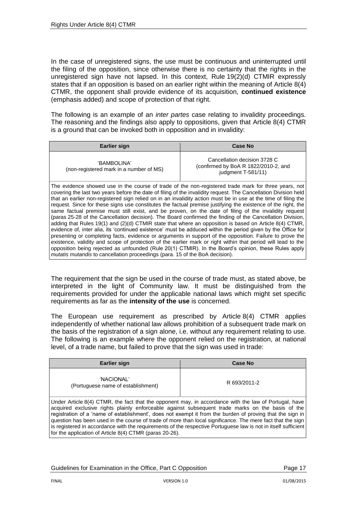In the case of unregistered signs, the use must be continuous and uninterrupted until the filing of the opposition, since otherwise there is no certainty that the rights in the unregistered sign have not lapsed. In this context, Rule 19(2)(d) CTMIR expressly states that if an opposition is based on an earlier right within the meaning of Article 8(4) CTMR, the opponent shall provide evidence of its acquisition, **continued existence** (emphasis added) and scope of protection of that right.

The following is an example of an *inter partes* case relating to invalidity proceedings. The reasoning and the findings also apply to oppositions, given that Article 8(4) CTMR is a ground that can be invoked both in opposition and in invalidity:

| <b>Earlier sign</b>                                                                                                                                                                                                     | <b>Case No</b>                                                                              |
|-------------------------------------------------------------------------------------------------------------------------------------------------------------------------------------------------------------------------|---------------------------------------------------------------------------------------------|
| 'BAMBOLINA'<br>(non-registered mark in a number of MS)                                                                                                                                                                  | Cancellation decision 3728 C<br>(confirmed by BoA R 1822/2010-2, and<br>judgment $T-581/11$ |
| The evidence showed use in the course of trade of the non-registered trade mark for three years, not<br>covering the last two years before the date of filing of the invalidity request. The Cancellation Division held |                                                                                             |

covering the last two years before the date of filing of the invalidity request. The Cancellation Division held that an earlier non-registered sign relied on in an invalidity action must be in use at the time of filing the request. Since for these signs use constitutes the factual premise justifying the existence of the right, the same factual premise must still exist, and be proven, on the date of filing of the invalidity request (paras 25-28 of the Cancellation decision). The Board confirmed the finding of the Cancellation Division, adding that Rules 19(1) and (2)(d) CTMIR state that where an opposition is based on Article 8(4) CTMR, evidence of, inter alia, its 'continued existence' must be adduced within the period given by the Office for presenting or completing facts, evidence or arguments in support of the opposition. Failure to prove the existence, validity and scope of protection of the earlier mark or right within that period will lead to the opposition being rejected as unfounded (Rule 20(1) CTMIR). In the Board's opinion, these Rules apply *mutatis mutandis* to cancellation proceedings (para. 15 of the BoA decision).

The requirement that the sign be used in the course of trade must, as stated above, be interpreted in the light of Community law. It must be distinguished from the requirements provided for under the applicable national laws which might set specific requirements as far as the **intensity of the use** is concerned.

The European use requirement as prescribed by Article 8(4) CTMR applies independently of whether national law allows prohibition of a subsequent trade mark on the basis of the registration of a sign alone, i.e. without any requirement relating to use. The following is an example where the opponent relied on the registration, at national level, of a trade name, but failed to prove that the sign was used in trade:

| Earlier sign                                                                                                                                                                                                | <b>Case No</b> |
|-------------------------------------------------------------------------------------------------------------------------------------------------------------------------------------------------------------|----------------|
| 'NACIONAI <sup>'</sup><br>(Portuguese name of establishment)                                                                                                                                                | R 693/2011-2   |
| Under Article 8(4) CTMR, the fact that the opponent may, in accordance with the law of Portugal, have<br>Loomised eveluative sighte plainty enforceable equipat expectment trade mortes on the boois of the |                |

acquired exclusive rights plainly enforceable against subsequent trade marks on the basis of the registration of a 'name of establishment', does not exempt it from the burden of proving that the sign in question has been used in the course of trade of more than local significance. The mere fact that the sign is registered in accordance with the requirements of the respective Portuguese law is not in itself sufficient for the application of Article 8(4) CTMR (paras 20-26).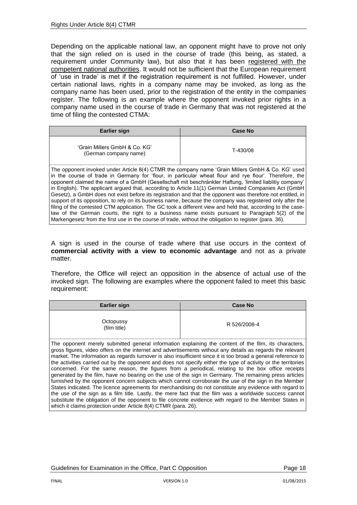Depending on the applicable national law, an opponent might have to prove not only that the sign relied on is used in the course of trade (this being, as stated, a requirement under Community law), but also that it has been registered with the competent national authorities. It would not be sufficient that the European requirement of 'use in trade' is met if the registration requirement is not fulfilled. However, under certain national laws, rights in a company name may be invoked, as long as the company name has been used, prior to the registration of the entity in the companies register. The following is an example where the opponent invoked prior rights in a company name used in the course of trade in Germany that was not registered at the time of filing the contested CTMA:

| Earlier sign                                                                                                                                                                                              | Case No  |
|-----------------------------------------------------------------------------------------------------------------------------------------------------------------------------------------------------------|----------|
| 'Grain Millers GmbH & Co. KG'<br>(German company name)                                                                                                                                                    | T-430/08 |
| The opponent invoked under Article 8(4) CTMR the company name 'Grain Millers GmbH & Co. KG' used<br>in the course of trade in Cormany for 'flour, in particular wheat flour and rue flour' Therefore, the |          |

course of trade in Germany for 'flour, in particular wheat flour and rye flour'. Therefore opponent claimed the name of a GmbH (Gesellschaft mit beschränkter Haftung, 'limited liablitiy company' in English). The applicant argued that, according to Article 11(1) German Limited Companies Act (GmbH Gesetz), a GmbH does not exist before its registration and that the opponent was therefore not entitled, in support of its opposition, to rely on its business name, because the company was registered only after the filing of the contested CTM application. The GC took a different view and held that, according to the caselaw of the German courts, the right to a business name exists pursuant to Paragraph 5(2) of the Markengesetz from the first use in the course of trade, without the obligation to register (para. 36).

A sign is used in the course of trade where that use occurs in the context of **commercial activity with a view to economic advantage** and not as a private matter.

Therefore, the Office will reject an opposition in the absence of actual use of the invoked sign. The following are examples where the opponent failed to meet this basic requirement:

| <b>Earlier sign</b>                                                                                                                                                                                                                                                                                                                                                                                                                                                                                                                                          | <b>Case No</b> |
|--------------------------------------------------------------------------------------------------------------------------------------------------------------------------------------------------------------------------------------------------------------------------------------------------------------------------------------------------------------------------------------------------------------------------------------------------------------------------------------------------------------------------------------------------------------|----------------|
| Octopussy<br>(film title)                                                                                                                                                                                                                                                                                                                                                                                                                                                                                                                                    | R 526/2008-4   |
| The opponent merely submitted general information explaining the content of the film, its characters,<br>gross figures, video offers on the internet and advertisements without any details as regards the relevant<br>market. The information as regards turnover is also insufficient since it is too broad a general reference to<br>the activities carried out by the opponent and does not specify either the type of activity or the territories<br>concerned. For the same reason, the figures from a periodical, relating to the box office receipts |                |

generated by the film, have no bearing on the use of the sign in Germany. The remaining press articles furnished by the opponent concern subjects which cannot corroborate the use of the sign in the Member States indicated. The licence agreements for merchandising do not constitute any evidence with regard to the use of the sign as a film title. Lastly, the mere fact that the film was a worldwide success cannot substitute the obligation of the opponent to file concrete evidence with regard to the Member States in which it claims protection under Article 8(4) CTMR (para. 26).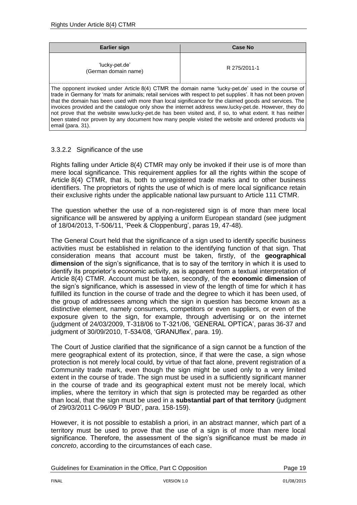| <b>Earlier sign</b>                                                                                                                                                                                                                                                                                                                                                                                                                                                                                                                                                                                                                                                           | <b>Case No</b> |  |
|-------------------------------------------------------------------------------------------------------------------------------------------------------------------------------------------------------------------------------------------------------------------------------------------------------------------------------------------------------------------------------------------------------------------------------------------------------------------------------------------------------------------------------------------------------------------------------------------------------------------------------------------------------------------------------|----------------|--|
| 'lucky-pet.de'<br>(German domain name)                                                                                                                                                                                                                                                                                                                                                                                                                                                                                                                                                                                                                                        | R 275/2011-1   |  |
| The opponent invoked under Article 8(4) CTMR the domain name 'lucky-pet.de' used in the course of<br>trade in Germany for 'mats for animals; retail services with respect to pet supplies'. It has not been proven<br>that the domain has been used with more than local significance for the claimed goods and services. The<br>invoices provided and the catalogue only show the internet address www.lucky-pet.de. However, they do<br>not prove that the website www.lucky-pet.de has been visited and, if so, to what extent. It has neither<br>been stated nor proven by any document how many people visited the website and ordered products via<br>email (para. 31). |                |  |

#### <span id="page-18-0"></span>3.3.2.2 Significance of the use

Rights falling under Article 8(4) CTMR may only be invoked if their use is of more than mere local significance. This requirement applies for all the rights within the scope of Article 8(4) CTMR, that is, both to unregistered trade marks and to other business identifiers. The proprietors of rights the use of which is of mere local significance retain their exclusive rights under the applicable national law pursuant to Article 111 CTMR.

The question whether the use of a non-registered sign is of more than mere local significance will be answered by applying a uniform European standard (see judgment of 18/04/2013, T-506/11, 'Peek & Cloppenburg', paras 19, 47-48).

The General Court held that the significance of a sign used to identify specific business activities must be established in relation to the identifying function of that sign. That consideration means that account must be taken, firstly, of the **geographical dimension** of the sign's significance, that is to say of the territory in which it is used to identify its proprietor's economic activity, as is apparent from a textual interpretation of Article 8(4) CTMR. Account must be taken, secondly, of the **economic dimension** of the sign's significance, which is assessed in view of the length of time for which it has fulfilled its function in the course of trade and the degree to which it has been used, of the group of addressees among which the sign in question has become known as a distinctive element, namely consumers, competitors or even suppliers, or even of the exposure given to the sign, for example, through advertising or on the internet (judgment of 24/03/2009, T-318/06 to T-321/06, 'GENERAL OPTICA', paras 36-37 and judgment of 30/09/2010, T-534/08, 'GRANUflex', para. 19).

The Court of Justice clarified that the significance of a sign cannot be a function of the mere geographical extent of its protection, since, if that were the case, a sign whose protection is not merely local could, by virtue of that fact alone, prevent registration of a Community trade mark, even though the sign might be used only to a very limited extent in the course of trade. The sign must be used in a sufficiently significant manner in the course of trade and its geographical extent must not be merely local, which implies, where the territory in which that sign is protected may be regarded as other than local, that the sign must be used in a **substantial part of that territory** (judgment of 29/03/2011 C-96/09 P 'BUD', para. 158-159).

However, it is not possible to establish a priori, in an abstract manner, which part of a territory must be used to prove that the use of a sign is of more than mere local significance. Therefore, the assessment of the sign's significance must be made *in concreto*, according to the circumstances of each case.

Guidelines for Examination in the Office, Part C Opposition **Page 19** Page 19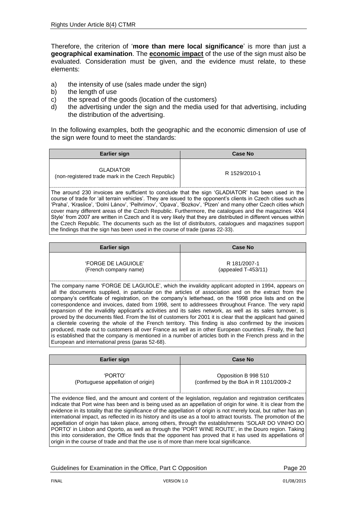Therefore, the criterion of '**more than mere local significance**' is more than just a **geographical examination**. The **economic impact** of the use of the sign must also be evaluated. Consideration must be given, and the evidence must relate, to these elements:

- a) the intensity of use (sales made under the sign)
- b) the length of use
- c) the spread of the goods (location of the customers)
- d) the advertising under the sign and the media used for that advertising, including the distribution of the advertising.

In the following examples, both the geographic and the economic dimension of use of the sign were found to meet the standards:

| Earlier sign                                                                                      | <b>Case No</b> |  |
|---------------------------------------------------------------------------------------------------|----------------|--|
| <b>GLADIATOR</b><br>(non-registered trade mark in the Czech Republic)                             | R 1529/2010-1  |  |
| The around 230 invoices are sufficient to conclude that the sign 'CLADIATOD' has hean used in the |                |  |

The around 230 invoices are sufficient to conclude that the sign 'GLADIATOR' has been used in the course of trade for 'all terrain vehicles'. They are issued to the opponent's clients in Czech cities such as 'Praha', 'Kraslice', 'Dolnì Lánov', 'Pelhrimov', 'Opava', 'Bozkov', 'Plzen' and many other Czech cities which cover many different areas of the Czech Republic. Furthermore, the catalogues and the magazines '4X4 Style' from 2007 are written in Czech and it is very likely that they are distributed in different venues within the Czech Republic. The documents such as the list of distributors, catalogues and magazines support the findings that the sign has been used in the course of trade (paras 22-33).

| <b>Earlier sign</b>       | Case No                |
|---------------------------|------------------------|
| <b>FORGE DE LAGUIOLE'</b> | R 181/2007-1           |
| (French company name)     | (appealed $T-453/11$ ) |

The company name 'FORGE DE LAGUIOLE', which the invalidity applicant adopted in 1994, appears on all the documents supplied, in particular on the articles of association and on the extract from the company's certificate of registration, on the company's letterhead, on the 1998 price lists and on the correspondence and invoices, dated from 1998, sent to addressees throughout France. The very rapid expansion of the invalidity applicant's activities and its sales network, as well as its sales turnover, is proved by the documents filed. From the list of customers for 2001 it is clear that the applicant had gained a clientele covering the whole of the French territory. This finding is also confirmed by the invoices produced, made out to customers all over France as well as in other European countries. Finally, the fact is established that the company is mentioned in a number of articles both in the French press and in the European and international press (paras 52-68).

| Earlier sign                                                                                                                                                                                                                   | Case No                                                         |
|--------------------------------------------------------------------------------------------------------------------------------------------------------------------------------------------------------------------------------|-----------------------------------------------------------------|
| 'PORTO'<br>(Portuguese appellation of origin)                                                                                                                                                                                  | Opposition B 998 510<br>(confirmed by the BoA in R 1101/2009-2) |
| The evidence filed, and the amount and content of the legislation, regulation and registration certificates<br>I indicate that Port wine has been and is being used as an appellation of origin for wine. It is clear from the |                                                                 |

indicate that Port wine has been and is being used as an appellation of origin for wine. It is clear from the evidence in its totality that the significance of the appellation of origin is not merely local, but rather has an international impact, as reflected in its history and its use as a tool to attract tourists. The promotion of the appellation of origin has taken place, among others, through the establishments 'SOLAR DO VINHO DO PORTO' in Lisbon and Oporto, as well as through the 'PORT WINE ROUTE', in the Douro region. Taking this into consideration, the Office finds that the opponent has proved that it has used its appellations of origin in the course of trade and that the use is of more than mere local significance.

Guidelines for Examination in the Office, Part C Opposition **Page 20** Page 20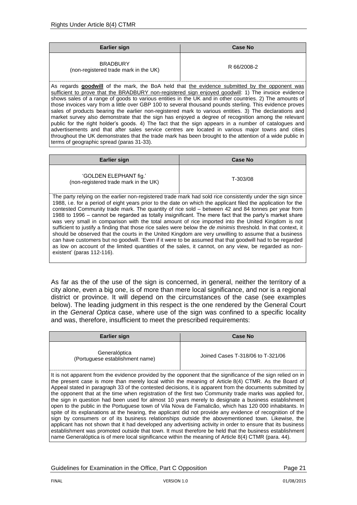| <b>Earlier sign</b>                                      | <b>Case No</b> |
|----------------------------------------------------------|----------------|
| <b>BRADBURY</b><br>(non-registered trade mark in the UK) | R 66/2008-2    |

As regards **goodwill** of the mark, the BoA held that the evidence submitted by the opponent was sufficient to prove that the BRADBURY non-registered sign enjoyed goodwill: 1) The invoice evidence shows sales of a range of goods to various entities in the UK and in other countries. 2) The amounts of those invoices vary from a little over GBP 100 to several thousand pounds sterling. This evidence proves sales of products bearing the earlier non-registered mark to various entities. 3) The declarations and market survey also demonstrate that the sign has enjoyed a degree of recognition among the relevant public for the right holder's goods. 4) The fact that the sign appears in a number of catalogues and advertisements and that after sales service centres are located in various major towns and cities throughout the UK demonstrates that the trade mark has been brought to the attention of a wide public in terms of geographic spread (paras 31-33).

| <b>Earlier sign</b>                                             | <b>Case No</b> |
|-----------------------------------------------------------------|----------------|
| 'GOLDEN ELEPHANT fig.'<br>(non-registered trade mark in the UK) | T-303/08       |

The party relying on the earlier non-registered trade mark had sold rice consistently under the sign since 1988, i.e. for a period of eight years prior to the date on which the applicant filed the application for the contested Community trade mark. The quantity of rice sold – between 42 and 84 tonnes per year from 1988 to 1996 – cannot be regarded as totally insignificant. The mere fact that the party's market share was very small in comparison with the total amount of rice imported into the United Kingdom is not sufficient to justify a finding that those rice sales were below the *de minimis* threshold. In that context, it should be observed that the courts in the United Kingdom are very unwilling to assume that a business can have customers but no goodwill. 'Even if it were to be assumed that that goodwill had to be regarded as low on account of the limited quantities of the sales, it cannot, on any view, be regarded as nonexistent' (paras 112-116).

As far as the of the use of the sign is concerned, in general, neither the territory of a city alone, even a big one, is of more than mere local significance, and nor is a regional district or province. It will depend on the circumstances of the case (see examples below). The leading judgment in this respect is the one rendered by the General Court in the *General Optica* case, where use of the sign was confined to a specific locality and was, therefore, insufficient to meet the prescribed requirements:

| <b>Earlier sign</b>                                                                                                                                                                                                                                                                                                                                                                                                                                                                                                                                                                                                                                                                                                                                                                                                                                                                                                                                                                                                                                                                                                                                                                                              | <b>Case No</b>                    |
|------------------------------------------------------------------------------------------------------------------------------------------------------------------------------------------------------------------------------------------------------------------------------------------------------------------------------------------------------------------------------------------------------------------------------------------------------------------------------------------------------------------------------------------------------------------------------------------------------------------------------------------------------------------------------------------------------------------------------------------------------------------------------------------------------------------------------------------------------------------------------------------------------------------------------------------------------------------------------------------------------------------------------------------------------------------------------------------------------------------------------------------------------------------------------------------------------------------|-----------------------------------|
| Generalóptica<br>(Portuguese establishment name)                                                                                                                                                                                                                                                                                                                                                                                                                                                                                                                                                                                                                                                                                                                                                                                                                                                                                                                                                                                                                                                                                                                                                                 | Joined Cases T-318/06 to T-321/06 |
| It is not apparent from the evidence provided by the opponent that the significance of the sign relied on in<br>the present case is more than merely local within the meaning of Article 8(4) CTMR. As the Board of<br>Appeal stated in paragraph 33 of the contested decisions, it is apparent from the documents submitted by<br>the opponent that at the time when registration of the first two Community trade marks was applied for,<br>the sign in question had been used for almost 10 years merely to designate a business establishment<br>open to the public in the Portuguese town of Vila Nova de Famalicão, which has 120 000 inhabitants. In<br>spite of its explanations at the hearing, the applicant did not provide any evidence of recognition of the<br>sign by consumers or of its business relationships outside the abovementioned town. Likewise, the<br>applicant has not shown that it had developed any advertising activity in order to ensure that its business<br>establishment was promoted outside that town. It must therefore be held that the business establishment<br>name Generalóptica is of mere local significance within the meaning of Article 8(4) CTMR (para. 44). |                                   |

Guidelines for Examination in the Office, Part C Opposition **Page 21** Page 21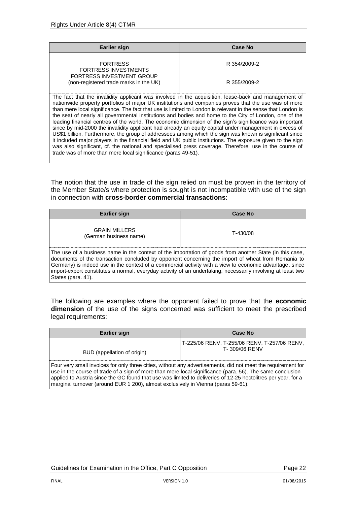| Earlier sign                                                                                                                                                                                                  | Case No      |
|---------------------------------------------------------------------------------------------------------------------------------------------------------------------------------------------------------------|--------------|
| <b>FORTRESS</b><br><b>FORTRESS INVESTMENTS</b>                                                                                                                                                                | R 354/2009-2 |
| <b>FORTRESS INVESTMENT GROUP</b><br>(non-registered trade marks in the UK)                                                                                                                                    | R 355/2009-2 |
| The fact that the invalidity applicant was involved in the acquisition, lease-back and management of<br>nationwide property portfolios of major UK institutions and companies proves that the use was of more |              |

than mere local significance. The fact that use is limited to London is relevant in the sense that London is the seat of nearly all governmental institutions and bodies and home to the City of London, one of the leading financial centres of the world. The economic dimension of the sign's significance was important since by mid-2000 the invalidity applicant had already an equity capital under management in excess of US\$1 billion. Furthermore, the group of addressees among which the sign was known is significant since it included major players in the financial field and UK public institutions. The exposure given to the sign was also significant, cf. the national and specialised press coverage. Therefore, use in the course of trade was of more than mere local significance (paras 49-51).

The notion that the use in trade of the sign relied on must be proven in the territory of the Member State/s where protection is sought is not incompatible with use of the sign in connection with **cross-border commercial transactions**:

| <b>Earlier sign</b>                                                                                                                                                                                                                                                                                                                                                                                                                                          | Case No  |
|--------------------------------------------------------------------------------------------------------------------------------------------------------------------------------------------------------------------------------------------------------------------------------------------------------------------------------------------------------------------------------------------------------------------------------------------------------------|----------|
| <b>GRAIN MILLERS</b><br>(German business name)                                                                                                                                                                                                                                                                                                                                                                                                               | T-430/08 |
| The use of a business name in the context of the importation of goods from another State (in this case,<br>documents of the transaction concluded by opponent concerning the import of wheat from Romania to<br>Germany) is indeed use in the context of a commercial activity with a view to economic advantage, since<br>import-export constitutes a normal, everyday activity of an undertaking, necessarily involving at least two<br>States (para. 41). |          |

The following are examples where the opponent failed to prove that the **economic dimension** of the use of the signs concerned was sufficient to meet the prescribed legal requirements:

| Earlier sign                                                                                                                                                                                                                                                                                                                                                                                                                    | <b>Case No</b>                                                  |
|---------------------------------------------------------------------------------------------------------------------------------------------------------------------------------------------------------------------------------------------------------------------------------------------------------------------------------------------------------------------------------------------------------------------------------|-----------------------------------------------------------------|
| BUD (appellation of origin)                                                                                                                                                                                                                                                                                                                                                                                                     | T-225/06 RENV, T-255/06 RENV, T-257/06 RENV,  <br>T-309/06 RENV |
| Four very small invoices for only three cities, without any advertisements, did not meet the requirement for<br>use in the course of trade of a sign of more than mere local significance (para, 56). The same conclusion<br>applied to Austria since the GC found that use was limited to deliveries of 12-25 hectolitres per year, for a<br>marginal turnover (around EUR 1 200), almost exclusively in Vienna (paras 59-61). |                                                                 |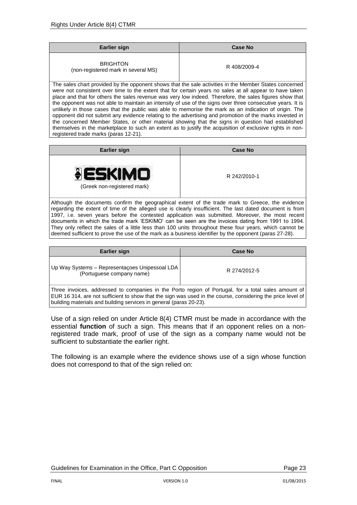| <b>Earlier sign</b>                                    | <b>Case No</b> |
|--------------------------------------------------------|----------------|
| <b>BRIGHTON</b><br>(non-registered mark in several MS) | R 408/2009-4   |

The sales chart provided by the opponent shows that the sale activities in the Member States concerned were not consistent over time to the extent that for certain years no sales at all appear to have taken place and that for others the sales revenue was very low indeed. Therefore, the sales figures show that the opponent was not able to maintain an intensity of use of the signs over three consecutive years. It is unlikely in those cases that the public was able to memorise the mark as an indication of origin. The opponent did not submit any evidence relating to the advertising and promotion of the marks invested in the concerned Member States, or other material showing that the signs in question had established themselves in the marketplace to such an extent as to justify the acquisition of exclusive rights in nonregistered trade marks (paras 12-21).

|                                             | <b>Earlier sign</b> | <b>Case No</b> |
|---------------------------------------------|---------------------|----------------|
| R 242/2010-1<br>(Greek non-registered mark) | ESKIMO              |                |

Although the documents confirm the geographical extent of the trade mark to Greece, the evidence regarding the extent of time of the alleged use is clearly insufficient. The last dated document is from 1997, i.e. seven years before the contested application was submitted. Moreover, the most recent documents in which the trade mark 'ESKIMO' can be seen are the invoices dating from 1991 to 1994. They only reflect the sales of a little less than 100 units throughout these four years, which cannot be deemed sufficient to prove the use of the mark as a business identifier by the opponent (paras 27-28).

| Earlier sign                                                                                                                                                                                                                                                                             | Case No      |
|------------------------------------------------------------------------------------------------------------------------------------------------------------------------------------------------------------------------------------------------------------------------------------------|--------------|
| Up Way Systems – Representações Unipessoal LDA<br>(Portuguese company name)                                                                                                                                                                                                              | R 274/2012-5 |
| Three invoices, addressed to companies in the Porto region of Portugal, for a total sales amount of<br>EUR 16 314, are not sufficient to show that the sign was used in the course, considering the price level of<br>building materials and building services in general (paras 20-23). |              |

Use of a sign relied on under Article 8(4) CTMR must be made in accordance with the essential **function** of such a sign. This means that if an opponent relies on a nonregistered trade mark, proof of use of the sign as a company name would not be sufficient to substantiate the earlier right.

The following is an example where the evidence shows use of a sign whose function does not correspond to that of the sign relied on: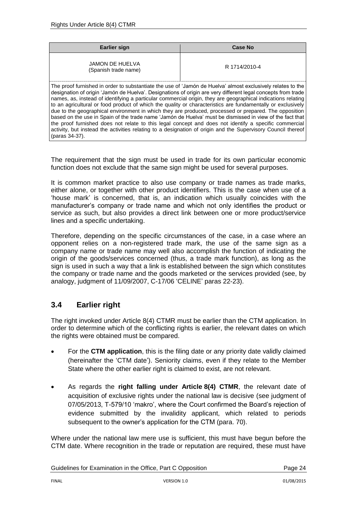| Earlier sign                                                                                                                                                                                                                   | <b>Case No</b> |
|--------------------------------------------------------------------------------------------------------------------------------------------------------------------------------------------------------------------------------|----------------|
| JAMON DE HUELVA<br>(Spanish trade name)                                                                                                                                                                                        | R 1714/2010-4  |
| The proof furnished in order to substantiate the use of 'Jamón de Huelva' almost exclusively relates to the pr<br>designation of origin 'Jamón de Huelya', Designations of origin are very different legal concents from trade |                |

Jamon de Huelva´. Designations of origin are very different leg names, as, instead of identifying a particular commercial origin, they are geographical indications relating to an agricultural or food product of which the quality or characteristics are fundamentally or exclusively due to the geographical environment in which they are produced, processed or prepared. The opposition based on the use in Spain of the trade name 'Jamón de Huelva' must be dismissed in view of the fact that the proof furnished does not relate to this legal concept and does not identify a specific commercial activity, but instead the activities relating to a designation of origin and the Supervisory Council thereof (paras 34-37).

The requirement that the sign must be used in trade for its own particular economic function does not exclude that the same sign might be used for several purposes.

It is common market practice to also use company or trade names as trade marks, either alone, or together with other product identifiers. This is the case when use of a 'house mark' is concerned, that is, an indication which usually coincides with the manufacturer's company or trade name and which not only identifies the product or service as such, but also provides a direct link between one or more product/service lines and a specific undertaking.

Therefore, depending on the specific circumstances of the case, in a case where an opponent relies on a non-registered trade mark, the use of the same sign as a company name or trade name may well also accomplish the function of indicating the origin of the goods/services concerned (thus, a trade mark function), as long as the sign is used in such a way that a link is established between the sign which constitutes the company or trade name and the goods marketed or the services provided (see, by analogy, judgment of 11/09/2007, C-17/06 'CELINE' paras 22-23).

# <span id="page-23-0"></span>**3.4 Earlier right**

The right invoked under Article 8(4) CTMR must be earlier than the CTM application. In order to determine which of the conflicting rights is earlier, the relevant dates on which the rights were obtained must be compared.

- For the **CTM application**, this is the filing date or any priority date validly claimed (hereinafter the 'CTM date'). Seniority claims, even if they relate to the Member State where the other earlier right is claimed to exist, are not relevant.
- As regards the **right falling under Article 8(4) CTMR**, the relevant date of acquisition of exclusive rights under the national law is decisive (see judgment of 07/05/2013, T-579/10 'makro', where the Court confirmed the Board's rejection of evidence submitted by the invalidity applicant, which related to periods subsequent to the owner's application for the CTM (para. 70).

Where under the national law mere use is sufficient, this must have begun before the CTM date. Where recognition in the trade or reputation are required, these must have

Guidelines for Examination in the Office, Part C Opposition **Page 24** Page 24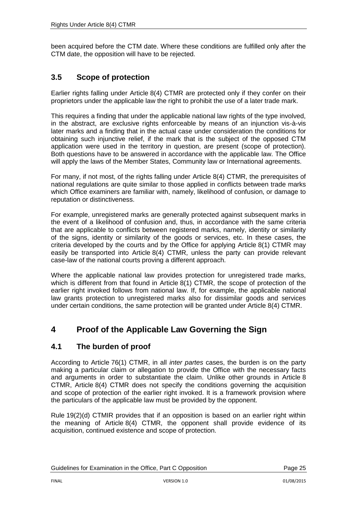been acquired before the CTM date. Where these conditions are fulfilled only after the CTM date, the opposition will have to be rejected.

# <span id="page-24-0"></span>**3.5 Scope of protection**

Earlier rights falling under Article 8(4) CTMR are protected only if they confer on their proprietors under the applicable law the right to prohibit the use of a later trade mark.

This requires a finding that under the applicable national law rights of the type involved, in the abstract, are exclusive rights enforceable by means of an injunction vis-à-vis later marks and a finding that in the actual case under consideration the conditions for obtaining such injunctive relief, if the mark that is the subject of the opposed CTM application were used in the territory in question, are present (scope of protection). Both questions have to be answered in accordance with the applicable law. The Office will apply the laws of the Member States, Community law or International agreements.

For many, if not most, of the rights falling under Article 8(4) CTMR, the prerequisites of national regulations are quite similar to those applied in conflicts between trade marks which Office examiners are familiar with, namely, likelihood of confusion, or damage to reputation or distinctiveness.

For example, unregistered marks are generally protected against subsequent marks in the event of a likelihood of confusion and, thus, in accordance with the same criteria that are applicable to conflicts between registered marks, namely, identity or similarity of the signs, identity or similarity of the goods or services, etc. In these cases, the criteria developed by the courts and by the Office for applying Article 8(1) CTMR may easily be transported into Article 8(4) CTMR, unless the party can provide relevant case-law of the national courts proving a different approach.

Where the applicable national law provides protection for unregistered trade marks, which is different from that found in Article 8(1) CTMR, the scope of protection of the earlier right invoked follows from national law. If, for example, the applicable national law grants protection to unregistered marks also for dissimilar goods and services under certain conditions, the same protection will be granted under Article 8(4) CTMR.

# <span id="page-24-1"></span>**4 Proof of the Applicable Law Governing the Sign**

## <span id="page-24-2"></span>**4.1 The burden of proof**

According to Article 76(1) CTMR, in all *inter partes* cases, the burden is on the party making a particular claim or allegation to provide the Office with the necessary facts and arguments in order to substantiate the claim. Unlike other grounds in Article 8 CTMR, Article 8(4) CTMR does not specify the conditions governing the acquisition and scope of protection of the earlier right invoked. It is a framework provision where the particulars of the applicable law must be provided by the opponent.

Rule 19(2)(d) CTMIR provides that if an opposition is based on an earlier right within the meaning of Article 8(4) CTMR, the opponent shall provide evidence of its acquisition, continued existence and scope of protection.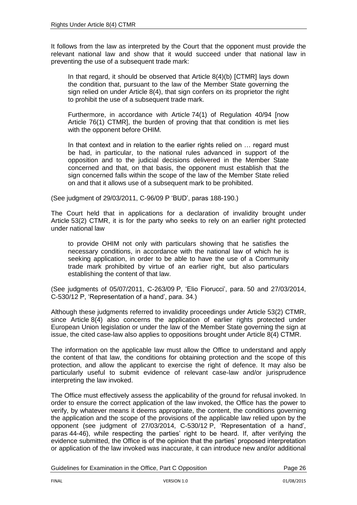It follows from the law as interpreted by the Court that the opponent must provide the relevant national law and show that it would succeed under that national law in preventing the use of a subsequent trade mark:

In that regard, it should be observed that Article 8(4)(b) [CTMR] lays down the condition that, pursuant to the law of the Member State governing the sign relied on under Article 8(4), that sign confers on its proprietor the right to prohibit the use of a subsequent trade mark.

Furthermore, in accordance with Article 74(1) of Regulation 40/94 [now Article 76(1) CTMR], the burden of proving that that condition is met lies with the opponent before OHIM.

In that context and in relation to the earlier rights relied on ... regard must be had, in particular, to the national rules advanced in support of the opposition and to the judicial decisions delivered in the Member State concerned and that, on that basis, the opponent must establish that the sign concerned falls within the scope of the law of the Member State relied on and that it allows use of a subsequent mark to be prohibited.

(See judgment of 29/03/2011, C-96/09 P 'BUD', paras 188-190.)

The Court held that in applications for a declaration of invalidity brought under Article 53(2) CTMR, it is for the party who seeks to rely on an earlier right protected under national law

to provide OHIM not only with particulars showing that he satisfies the necessary conditions, in accordance with the national law of which he is seeking application, in order to be able to have the use of a Community trade mark prohibited by virtue of an earlier right, but also particulars establishing the content of that law.

(See judgments of 05/07/2011, C-263/09 P, 'Elio Fiorucci', para. 50 and 27/03/2014, C-530/12 P, 'Representation of a hand', para. 34.)

Although these judgments referred to invalidity proceedings under Article 53(2) CTMR, since Article 8(4) also concerns the application of earlier rights protected under European Union legislation or under the law of the Member State governing the sign at issue, the cited case-law also applies to oppositions brought under Article 8(4) CTMR.

The information on the applicable law must allow the Office to understand and apply the content of that law, the conditions for obtaining protection and the scope of this protection, and allow the applicant to exercise the right of defence. It may also be particularly useful to submit evidence of relevant case-law and/or jurisprudence interpreting the law invoked.

The Office must effectively assess the applicability of the ground for refusal invoked. In order to ensure the correct application of the law invoked, the Office has the power to verify, by whatever means it deems appropriate, the content, the conditions governing the application and the scope of the provisions of the applicable law relied upon by the opponent (see judgment of 27/03/2014, C-530/12 P, 'Representation of a hand', paras 44-46), while respecting the parties' right to be heard. If, after verifying the evidence submitted, the Office is of the opinion that the parties' proposed interpretation or application of the law invoked was inaccurate, it can introduce new and/or additional

Guidelines for Examination in the Office, Part C Opposition **Page 26** Page 26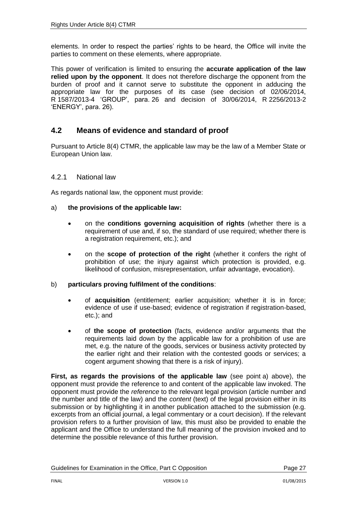elements. In order to respect the parties' rights to be heard, the Office will invite the parties to comment on these elements, where appropriate.

This power of verification is limited to ensuring the **accurate application of the law relied upon by the opponent**. It does not therefore discharge the opponent from the burden of proof and it cannot serve to substitute the opponent in adducing the appropriate law for the purposes of its case (see decision of 02/06/2014, R 1587/2013-4 'GROUP', para. 26 and decision of 30/06/2014, R 2256/2013-2 'ENERGY', para. 26).

### <span id="page-26-0"></span>**4.2 Means of evidence and standard of proof**

Pursuant to Article 8(4) CTMR, the applicable law may be the law of a Member State or European Union law.

#### <span id="page-26-1"></span>4.2.1 National law

As regards national law, the opponent must provide:

#### a) **the provisions of the applicable law:**

- on the **conditions governing acquisition of rights** (whether there is a requirement of use and, if so, the standard of use required; whether there is a registration requirement, etc.); and
- on the **scope of protection of the right** (whether it confers the right of prohibition of use; the injury against which protection is provided, e.g. likelihood of confusion, misrepresentation, unfair advantage, evocation).

#### b) **particulars proving fulfilment of the conditions**:

- of **acquisition** (entitlement; earlier acquisition; whether it is in force; evidence of use if use-based; evidence of registration if registration-based. etc.); and
- of **the scope of protection** (facts, evidence and/or arguments that the requirements laid down by the applicable law for a prohibition of use are met, e.g. the nature of the goods, services or business activity protected by the earlier right and their relation with the contested goods or services; a cogent argument showing that there is a risk of injury).

**First, as regards the provisions of the applicable law** (see point a) above), the opponent must provide the reference to and content of the applicable law invoked. The opponent must provide the *reference* to the relevant legal provision (article number and the number and title of the law) and the *content* (text) of the legal provision either in its submission or by highlighting it in another publication attached to the submission (e.g. excerpts from an official journal, a legal commentary or a court decision). If the relevant provision refers to a further provision of law, this must also be provided to enable the applicant and the Office to understand the full meaning of the provision invoked and to determine the possible relevance of this further provision.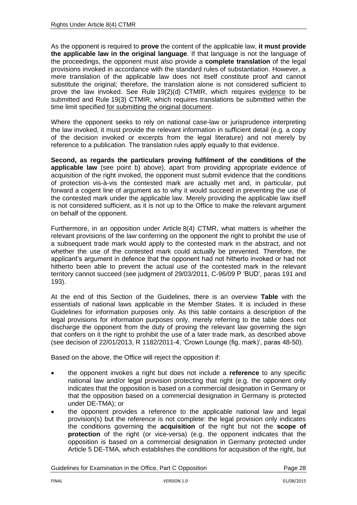As the opponent is required to **prove** the content of the applicable law, **it must provide the applicable law in the original language**. If that language is not the language of the proceedings, the opponent must also provide a **complete translation** of the legal provisions invoked in accordance with the standard rules of substantiation. However, a mere translation of the applicable law does not itself constitute proof and cannot substitute the original; therefore, the translation alone is not considered sufficient to prove the law invoked. See Rule 19(2)(d) CTMIR, which requires evidence to be submitted and Rule 19(3) CTMIR, which requires translations be submitted within the time limit specified for submitting the original document.

Where the opponent seeks to rely on national case-law or jurisprudence interpreting the law invoked, it must provide the relevant information in sufficient detail (e.g. a copy of the decision invoked or excerpts from the legal literature) and not merely by reference to a publication. The translation rules apply equally to that evidence.

**Second, as regards the particulars proving fulfilment of the conditions of the applicable law** (see point b) above), apart from providing appropriate evidence of acquisition of the right invoked, the opponent must submit evidence that the conditions of protection vis-à-vis the contested mark are actually met and, in particular, put forward a cogent line of argument as to why it would succeed in preventing the use of the contested mark under the applicable law. Merely providing the applicable law itself is not considered sufficient, as it is not up to the Office to make the relevant argument on behalf of the opponent.

Furthermore, in an opposition under Article 8(4) CTMR, what matters is whether the relevant provisions of the law conferring on the opponent the right to prohibit the use of a subsequent trade mark would apply to the contested mark in the abstract, and not whether the use of the contested mark could actually be prevented. Therefore, the applicant's argument in defence that the opponent had not hitherto invoked or had not hitherto been able to prevent the actual use of the contested mark in the relevant territory cannot succeed (see judgment of 29/03/2011, C-96/09 P 'BUD', paras 191 and 193).

At the end of this Section of the Guidelines, there is an overview **Table** with the essentials of national laws applicable in the Member States. It is included in these Guidelines for information purposes only. As this table contains a description of the legal provisions for information purposes only, merely referring to the table does not discharge the opponent from the duty of proving the relevant law governing the sign that confers on it the right to prohibit the use of a later trade mark, as described above (see decision of 22/01/2013, R 1182/2011-4, 'Crown Lounge (fig. mark)', paras 48-50).

Based on the above, the Office will reject the opposition if:

- the opponent invokes a right but does not include a **reference** to any specific national law and/or legal provision protecting that right (e.g. the opponent only indicates that the opposition is based on a commercial designation in Germany or that the opposition based on a commercial designation in Germany is protected under DE-TMA); or
- the opponent provides a reference to the applicable national law and legal provision(s) but the reference is not complete: the legal provision only indicates the conditions governing the **acquisition** of the right but not the **scope of protection** of the right (or vice-versa) (e.g. the opponent indicates that the opposition is based on a commercial designation in Germany protected under Article 5 DE-TMA, which establishes the conditions for acquisition of the right, but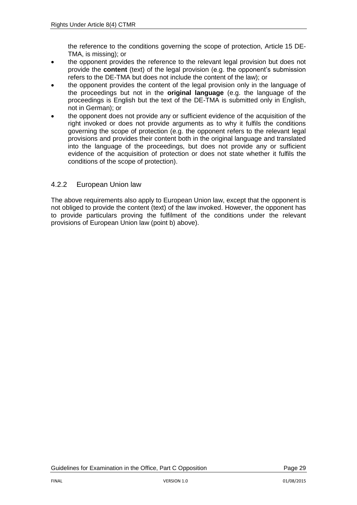the reference to the conditions governing the scope of protection, Article 15 DE-TMA, is missing); or

- the opponent provides the reference to the relevant legal provision but does not provide the **content** (text) of the legal provision (e.g. the opponent's submission refers to the DE-TMA but does not include the content of the law); or
- the opponent provides the content of the legal provision only in the language of the proceedings but not in the **original language** (e.g. the language of the proceedings is English but the text of the DE-TMA is submitted only in English, not in German); or
- the opponent does not provide any or sufficient evidence of the acquisition of the right invoked or does not provide arguments as to why it fulfils the conditions governing the scope of protection (e.g. the opponent refers to the relevant legal provisions and provides their content both in the original language and translated into the language of the proceedings, but does not provide any or sufficient evidence of the acquisition of protection or does not state whether it fulfils the conditions of the scope of protection).

### <span id="page-28-0"></span>4.2.2 European Union law

The above requirements also apply to European Union law, except that the opponent is not obliged to provide the content (text) of the law invoked. However, the opponent has to provide particulars proving the fulfilment of the conditions under the relevant provisions of European Union law (point b) above).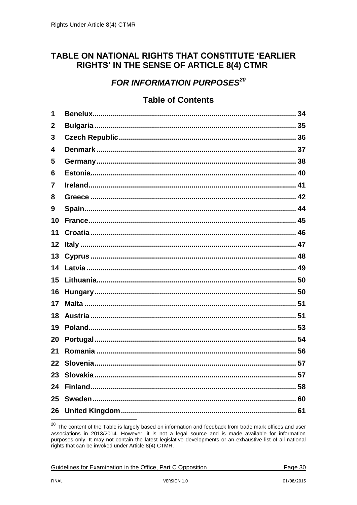# <span id="page-29-0"></span>TABLE ON NATIONAL RIGHTS THAT CONSTITUTE 'EARLIER RIGHTS' IN THE SENSE OF ARTICLE 8(4) CTMR

# **FOR INFORMATION PURPOSES<sup>20</sup>**

# **Table of Contents**

| 1           |  |
|-------------|--|
| $\mathbf 2$ |  |
| 3           |  |
| 4           |  |
| 5           |  |
| 6           |  |
| 7           |  |
| 8           |  |
| 9           |  |
| 10          |  |
| 11          |  |
| 12          |  |
| 13          |  |
| 14          |  |
| 15          |  |
| 16          |  |
| 17          |  |
| 18          |  |
| 19          |  |
| 20          |  |
| 21          |  |
| 22          |  |
| 23          |  |
| 24          |  |
| 25          |  |
| 26          |  |
|             |  |

Guidelines for Examination in the Office, Part C Opposition

<sup>&</sup>lt;sup>20</sup> The content of the Table is largely based on information and feedback from trade mark offices and user associations in 2013/2014. However, it is not a legal source and is made available for information purposes only. It may not contain the latest legislative developments or an exhaustive list of all national rights that can be invoked under Article 8(4) CTMR.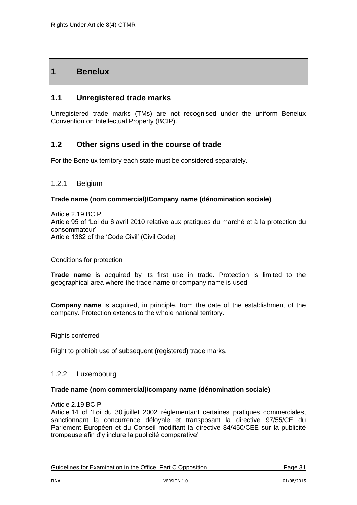# **1 Benelux**

# **1.1 Unregistered trade marks**

Unregistered trade marks (TMs) are not recognised under the uniform Benelux Convention on Intellectual Property (BCIP).

## **1.2 Other signs used in the course of trade**

For the Benelux territory each state must be considered separately.

#### 1.2.1 Belgium

#### **Trade name (nom commercial)/Company name (dénomination sociale)**

Article 2.19 BCIP Article 95 of 'Loi du 6 avril 2010 relative aux pratiques du marché et à la protection du consommateur' Article 1382 of the 'Code Civil' (Civil Code)

#### Conditions for protection

**Trade name** is acquired by its first use in trade. Protection is limited to the geographical area where the trade name or company name is used.

**Company name** is acquired, in principle, from the date of the establishment of the company. Protection extends to the whole national territory.

#### Rights conferred

Right to prohibit use of subsequent (registered) trade marks.

#### 1.2.2 Luxembourg

#### **Trade name (nom commercial)/company name (dénomination sociale)**

#### Article 2.19 BCIP

Article 14 of 'Loi du 30 juillet 2002 réglementant certaines pratiques commerciales, sanctionnant la concurrence déloyale et transposant la directive 97/55/CE du Parlement Européen et du Conseil modifiant la directive 84/450/CEE sur la publicité trompeuse afin d'y inclure la publicité comparative'

Guidelines for Examination in the Office, Part C Opposition **Page 31** Page 31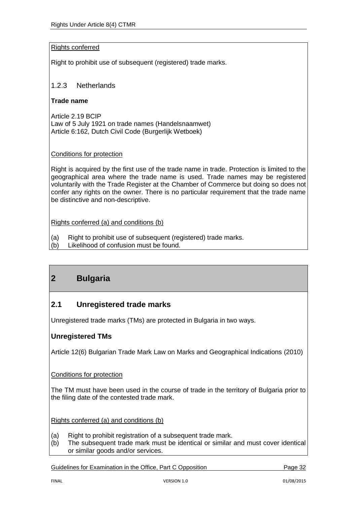#### Rights conferred

Right to prohibit use of subsequent (registered) trade marks.

### 1.2.3 Netherlands

#### **Trade name**

Article 2.19 BCIP Law of 5 July 1921 on trade names (Handelsnaamwet) Article 6:162, Dutch Civil Code (Burgerlijk Wetboek)

#### Conditions for protection

Right is acquired by the first use of the trade name in trade. Protection is limited to the geographical area where the trade name is used. Trade names may be registered voluntarily with the Trade Register at the Chamber of Commerce but doing so does not confer any rights on the owner. There is no particular requirement that the trade name be distinctive and non-descriptive.

Rights conferred (a) and conditions (b)

- (a) Right to prohibit use of subsequent (registered) trade marks.
- (b) Likelihood of confusion must be found.

# **2 Bulgaria**

## **2.1 Unregistered trade marks**

Unregistered trade marks (TMs) are protected in Bulgaria in two ways.

### **Unregistered TMs**

Article 12(6) Bulgarian Trade Mark Law on Marks and Geographical Indications (2010)

#### Conditions for protection

The TM must have been used in the course of trade in the territory of Bulgaria prior to the filing date of the contested trade mark.

Rights conferred (a) and conditions (b)

- (a) Right to prohibit registration of a subsequent trade mark.
- (b) The subsequent trade mark must be identical or similar and must cover identical or similar goods and/or services.

Guidelines for Examination in the Office, Part C Opposition Page 32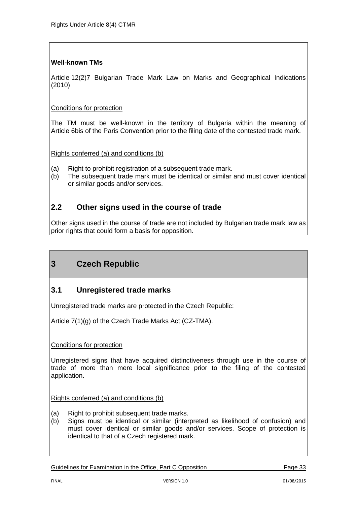### **Well-known TMs**

Article 12(2)7 Bulgarian Trade Mark Law on Marks and Geographical Indications (2010)

#### Conditions for protection

The TM must be well-known in the territory of Bulgaria within the meaning of Article 6bis of the Paris Convention prior to the filing date of the contested trade mark.

Rights conferred (a) and conditions (b)

- (a) Right to prohibit registration of a subsequent trade mark.
- (b) The subsequent trade mark must be identical or similar and must cover identical or similar goods and/or services.

## **2.2 Other signs used in the course of trade**

Other signs used in the course of trade are not included by Bulgarian trade mark law as prior rights that could form a basis for opposition.

# **3 Czech Republic**

## **3.1 Unregistered trade marks**

Unregistered trade marks are protected in the Czech Republic:

Article 7(1)(g) of the Czech Trade Marks Act (CZ-TMA).

#### Conditions for protection

Unregistered signs that have acquired distinctiveness through use in the course of trade of more than mere local significance prior to the filing of the contested application.

Rights conferred (a) and conditions (b)

- (a) Right to prohibit subsequent trade marks.
- (b) Signs must be identical or similar (interpreted as likelihood of confusion) and must cover identical or similar goods and/or services. Scope of protection is identical to that of a Czech registered mark.

Guidelines for Examination in the Office, Part C Opposition **Page 33**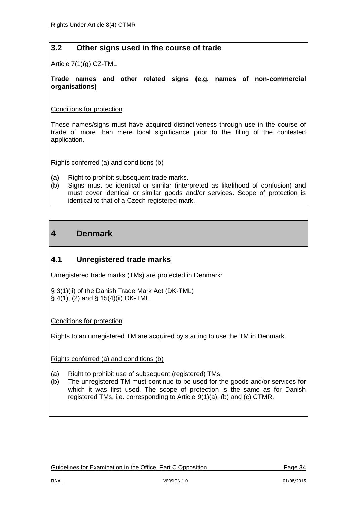# **3.2 Other signs used in the course of trade**

Article 7(1)(g) CZ-TML

#### **Trade names and other related signs (e.g. names of non-commercial organisations)**

#### Conditions for protection

These names/signs must have acquired distinctiveness through use in the course of trade of more than mere local significance prior to the filing of the contested application.

Rights conferred (a) and conditions (b)

- (a) Right to prohibit subsequent trade marks.
- (b) Signs must be identical or similar (interpreted as likelihood of confusion) and must cover identical or similar goods and/or services. Scope of protection is identical to that of a Czech registered mark.

# **4 Denmark**

## **4.1 Unregistered trade marks**

Unregistered trade marks (TMs) are protected in Denmark:

§ 3(1)(ii) of the Danish Trade Mark Act (DK-TML) § 4(1), (2) and § 15(4)(ii) DK-TML

Conditions for protection

Rights to an unregistered TM are acquired by starting to use the TM in Denmark.

Rights conferred (a) and conditions (b)

- (a) Right to prohibit use of subsequent (registered) TMs.
- (b) The unregistered TM must continue to be used for the goods and/or services for which it was first used. The scope of protection is the same as for Danish registered TMs, i.e. corresponding to Article 9(1)(a), (b) and (c) CTMR.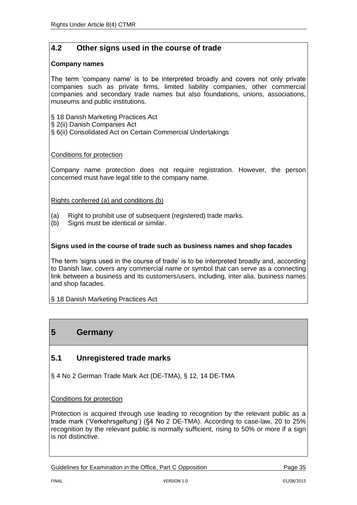# **4.2 Other signs used in the course of trade**

#### **Company names**

The term 'company name' is to be interpreted broadly and covers not only private companies such as private firms, limited liability companies, other commercial companies and secondary trade names but also foundations, unions, associations, museums and public institutions.

§ 18 Danish Marketing Practices Act

- § 2(ii) Danish Companies Act
- § 6(ii) Consolidated Act on Certain Commercial Undertakings

#### Conditions for protection

Company name protection does not require registration. However, the person concerned must have legal title to the company name.

#### Rights conferred (a) and conditions (b)

- (a) Right to prohibit use of subsequent (registered) trade marks.
- (b) Signs must be identical or similar.

#### **Signs used in the course of trade such as business names and shop facades**

The term 'signs used in the course of trade' is to be interpreted broadly and, according to Danish law, covers any commercial name or symbol that can serve as a connecting link between a business and its customers/users, including, inter alia, business names and shop facades.

§ 18 Danish Marketing Practices Act

# **5 Germany**

## **5.1 Unregistered trade marks**

§ 4 No 2 German Trade Mark Act (DE-TMA), § 12, 14 DE-TMA

Conditions for protection

Protection is acquired through use leading to recognition by the relevant public as a trade mark ('Verkehrsgeltung') (§4 No 2 DE-TMA). According to case-law, 20 to 25% recognition by the relevant public is normally sufficient, rising to 50% or more if a sign is not distinctive.

Guidelines for Examination in the Office, Part C Opposition **Page 35**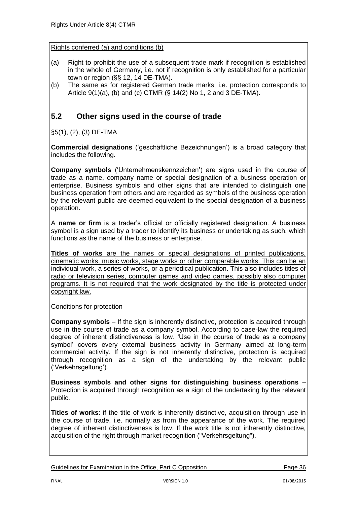- (a) Right to prohibit the use of a subsequent trade mark if recognition is established in the whole of Germany, i.e. not if recognition is only established for a particular town or region (§§ 12, 14 DE-TMA).
- (b) The same as for registered German trade marks, i.e. protection corresponds to Article 9(1)(a), (b) and (c) CTMR (§ 14(2) No 1, 2 and 3 DE-TMA).

# **5.2 Other signs used in the course of trade**

§5(1), (2), (3) DE-TMA

**Commercial designations** ('geschäftliche Bezeichnungen') is a broad category that includes the following.

**Company symbols** ('Unternehmenskennzeichen') are signs used in the course of trade as a name, company name or special designation of a business operation or enterprise. Business symbols and other signs that are intended to distinguish one business operation from others and are regarded as symbols of the business operation by the relevant public are deemed equivalent to the special designation of a business operation.

A **name or firm** is a trader's official or officially registered designation. A business symbol is a sign used by a trader to identify its business or undertaking as such, which functions as the name of the business or enterprise.

**Titles of works** are the names or special designations of printed publications, cinematic works, music works, stage works or other comparable works. This can be an individual work, a series of works, or a periodical publication. This also includes titles of radio or television series, computer games and video games, possibly also computer programs. It is not required that the work designated by the title is protected under copyright law.

Conditions for protection

**Company symbols** – If the sign is inherently distinctive, protection is acquired through use in the course of trade as a company symbol. According to case-law the required degree of inherent distinctiveness is low. 'Use in the course of trade as a company symbol' covers every external business activity in Germany aimed at long-term commercial activity. If the sign is not inherently distinctive, protection is acquired through recognition as a sign of the undertaking by the relevant public ('Verkehrsgeltung').

**Business symbols and other signs for distinguishing business operations** – Protection is acquired through recognition as a sign of the undertaking by the relevant public.

**Titles of works**: if the title of work is inherently distinctive, acquisition through use in the course of trade, i.e. normally as from the appearance of the work. The required degree of inherent distinctiveness is low. If the work title is not inherently distinctive, acquisition of the right through market recognition ("Verkehrsgeltung").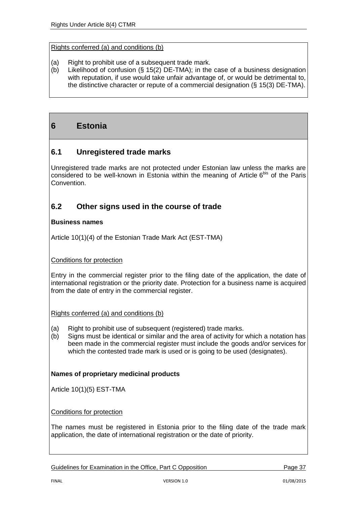- (a) Right to prohibit use of a subsequent trade mark.
- (b) Likelihood of confusion (§ 15(2) DE-TMA); in the case of a business designation with reputation, if use would take unfair advantage of, or would be detrimental to, the distinctive character or repute of a commercial designation (§ 15(3) DE-TMA).

# **6 Estonia**

### **6.1 Unregistered trade marks**

Unregistered trade marks are not protected under Estonian law unless the marks are considered to be well-known in Estonia within the meaning of Article  $6^{bis}$  of the Paris Convention.

### **6.2 Other signs used in the course of trade**

#### **Business names**

Article 10(1)(4) of the Estonian Trade Mark Act (EST-TMA)

#### Conditions for protection

Entry in the commercial register prior to the filing date of the application, the date of international registration or the priority date. Protection for a business name is acquired from the date of entry in the commercial register.

Rights conferred (a) and conditions (b)

- (a) Right to prohibit use of subsequent (registered) trade marks.
- (b) Signs must be identical or similar and the area of activity for which a notation has been made in the commercial register must include the goods and/or services for which the contested trade mark is used or is going to be used (designates).

#### **Names of proprietary medicinal products**

Article 10(1)(5) EST-TMA

#### Conditions for protection

The names must be registered in Estonia prior to the filing date of the trade mark application, the date of international registration or the date of priority.

Guidelines for Examination in the Office, Part C Opposition **Page 37** Page 37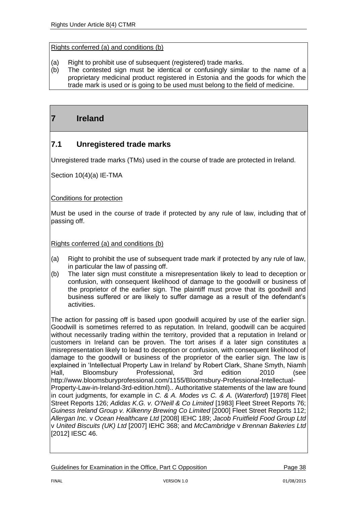- (a) Right to prohibit use of subsequent (registered) trade marks.
- (b) The contested sign must be identical or confusingly similar to the name of a proprietary medicinal product registered in Estonia and the goods for which the trade mark is used or is going to be used must belong to the field of medicine.

# **7 Ireland**

# **7.1 Unregistered trade marks**

Unregistered trade marks (TMs) used in the course of trade are protected in Ireland.

Section 10(4)(a) IE-TMA

#### Conditions for protection

Must be used in the course of trade if protected by any rule of law, including that of passing off.

Rights conferred (a) and conditions (b)

- (a) Right to prohibit the use of subsequent trade mark if protected by any rule of law, in particular the law of passing off.
- (b) The later sign must constitute a misrepresentation likely to lead to deception or confusion, with consequent likelihood of damage to the goodwill or business of the proprietor of the earlier sign. The plaintiff must prove that its goodwill and business suffered or are likely to suffer damage as a result of the defendant's activities.

The action for passing off is based upon goodwill acquired by use of the earlier sign. Goodwill is sometimes referred to as reputation. In Ireland, goodwill can be acquired without necessarily trading within the territory, provided that a reputation in Ireland or customers in Ireland can be proven. The tort arises if a later sign constitutes a misrepresentation likely to lead to deception or confusion, with consequent likelihood of damage to the goodwill or business of the proprietor of the earlier sign. The law is explained in 'Intellectual Property Law in Ireland' by Robert Clark, Shane Smyth, Niamh Hall, Bloomsbury Professional, 3rd edition 2010 (see http://www.bloomsburyprofessional.com/1155/Bloomsbury-Professional-Intellectual-Property-Law-in-Ireland-3rd-edition.html).. Authoritative statements of the law are found in court judgments, for example in *C. & A. Modes vs C. & A.* (*Waterford*) [1978] Fleet Street Reports 126; *Adidas K.G. v. O'Neill & Co Limited* [1983] Fleet Street Reports 76; *Guiness Ireland Group v. Kilkenny Brewing Co Limited* [2000] Fleet Street Reports 112; *Allergan Inc.* v *Ocean Healthcare Ltd* [2008] IEHC 189; *Jacob Fruitfield Food Group Ltd* v *United Biscuits (UK) Ltd* [2007] IEHC 368; and *McCambridge* v *Brennan Bakeries Ltd* [2012] IESC 46.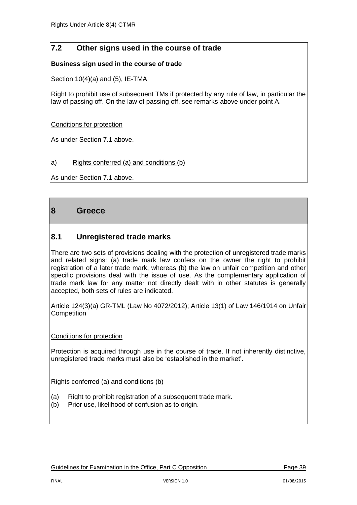# **7.2 Other signs used in the course of trade**

#### **Business sign used in the course of trade**

Section 10(4)(a) and (5), IE-TMA

Right to prohibit use of subsequent TMs if protected by any rule of law, in particular the law of passing off. On the law of passing off, see remarks above under point A.

Conditions for protection

As under Section 7.1 above.

#### a) Rights conferred (a) and conditions (b)

As under Section 7.1 above.

## **8 Greece**

## **8.1 Unregistered trade marks**

There are two sets of provisions dealing with the protection of unregistered trade marks and related signs: (a) trade mark law confers on the owner the right to prohibit registration of a later trade mark, whereas (b) the law on unfair competition and other specific provisions deal with the issue of use. As the complementary application of trade mark law for any matter not directly dealt with in other statutes is generally accepted, both sets of rules are indicated.

Article 124(3)(a) GR-TML (Law No 4072/2012); Article 13(1) of Law 146/1914 on Unfair **Competition** 

#### Conditions for protection

Protection is acquired through use in the course of trade. If not inherently distinctive, unregistered trade marks must also be 'established in the market'.

Rights conferred (a) and conditions (b)

- (a) Right to prohibit registration of a subsequent trade mark.
- (b) Prior use, likelihood of confusion as to origin.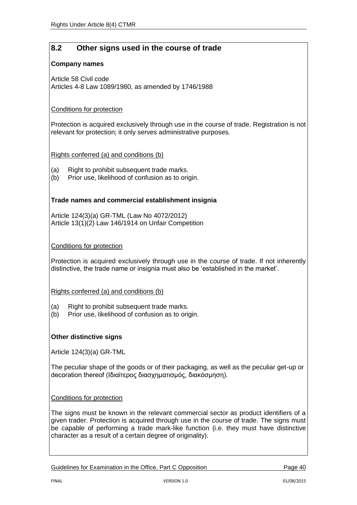# **8.2 Other signs used in the course of trade**

#### **Company names**

Article 58 Civil code Articles 4-8 Law 1089/1980, as amended by 1746/1988

#### Conditions for protection

Protection is acquired exclusively through use in the course of trade. Registration is not relevant for protection; it only serves administrative purposes.

Rights conferred (a) and conditions (b)

- (a) Right to prohibit subsequent trade marks.
- (b) Prior use, likelihood of confusion as to origin.

#### **Trade names and commercial establishment insignia**

Article 124(3)(a) GR-TML (Law No 4072/2012) Article 13(1)(2) Law 146/1914 on Unfair Competition

#### Conditions for protection

Protection is acquired exclusively through use in the course of trade. If not inherently distinctive, the trade name or insignia must also be 'established in the market'.

#### Rights conferred (a) and conditions (b)

- (a) Right to prohibit subsequent trade marks.
- (b) Prior use, likelihood of confusion as to origin.

#### **Other distinctive signs**

Article 124(3)(a) GR-TML

The peculiar shape of the goods or of their packaging, as well as the peculiar get-up or decoration thereof (Iδιαίτερος διασχηματισμός, διακόσμηση).

#### Conditions for protection

The signs must be known in the relevant commercial sector as product identifiers of a given trader. Protection is acquired through use in the course of trade. The signs must be capable of performing a trade mark-like function (i.e. they must have distinctive character as a result of a certain degree of originality).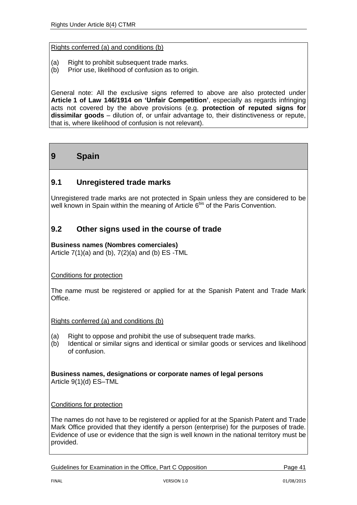- (a) Right to prohibit subsequent trade marks.
- (b) Prior use, likelihood of confusion as to origin.

General note: All the exclusive signs referred to above are also protected under **Article 1 of Law 146/1914 on 'Unfair Competition'**, especially as regards infringing acts not covered by the above provisions (e.g. **protection of reputed signs for dissimilar goods** – dilution of, or unfair advantage to, their distinctiveness or repute, that is, where likelihood of confusion is not relevant).

# **9 Spain**

## **9.1 Unregistered trade marks**

Unregistered trade marks are not protected in Spain unless they are considered to be well known in Spain within the meaning of Article 6<sup>bis</sup> of the Paris Convention.

# **9.2 Other signs used in the course of trade**

#### **Business names (Nombres comerciales)**

Article  $7(1)(a)$  and  $(b)$ ,  $7(2)(a)$  and  $(b)$  ES -TML

Conditions for protection

The name must be registered or applied for at the Spanish Patent and Trade Mark Office.

Rights conferred (a) and conditions (b)

- (a) Right to oppose and prohibit the use of subsequent trade marks.
- (b) Identical or similar signs and identical or similar goods or services and likelihood of confusion.

**Business names, designations or corporate names of legal persons** Article 9(1)(d) ES–TML

Conditions for protection

The names do not have to be registered or applied for at the Spanish Patent and Trade Mark Office provided that they identify a person (enterprise) for the purposes of trade. Evidence of use or evidence that the sign is well known in the national territory must be provided.

Guidelines for Examination in the Office, Part C Opposition **Page 41** Page 41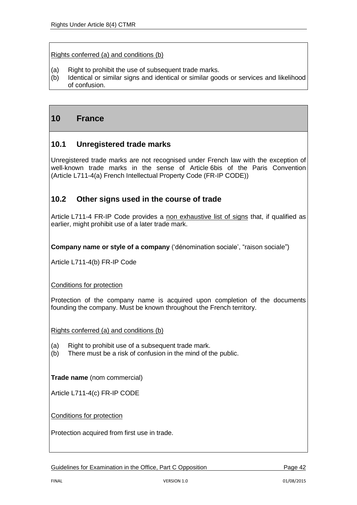- (a) Right to prohibit the use of subsequent trade marks.
- (b) Identical or similar signs and identical or similar goods or services and likelihood of confusion.

# **10 France**

## **10.1 Unregistered trade marks**

Unregistered trade marks are not recognised under French law with the exception of well-known trade marks in the sense of Article 6bis of the Paris Convention (Article L711-4(a) French Intellectual Property Code (FR-IP CODE))

### **10.2 Other signs used in the course of trade**

Article L711-4 FR-IP Code provides a non exhaustive list of signs that, if qualified as earlier, might prohibit use of a later trade mark.

**Company name or style of a company** ('dénomination sociale', "raison sociale")

Article L711-4(b) FR-IP Code

Conditions for protection

Protection of the company name is acquired upon completion of the documents founding the company. Must be known throughout the French territory.

Rights conferred (a) and conditions (b)

- (a) Right to prohibit use of a subsequent trade mark.
- (b) There must be a risk of confusion in the mind of the public.

**Trade name** (nom commercial)

Article L711-4(c) FR-IP CODE

Conditions for protection

Protection acquired from first use in trade.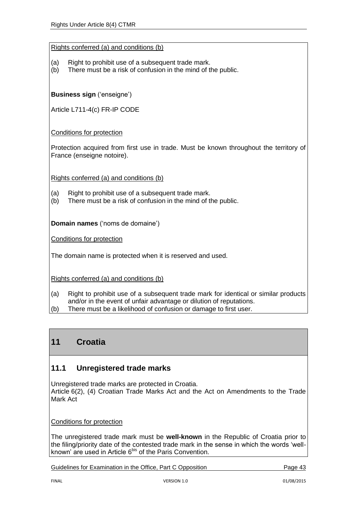- (a) Right to prohibit use of a subsequent trade mark.
- (b) There must be a risk of confusion in the mind of the public.

**Business sign** ('enseigne')

Article L711-4(c) FR-IP CODE

Conditions for protection

Protection acquired from first use in trade. Must be known throughout the territory of France (enseigne notoire).

Rights conferred (a) and conditions (b)

- (a) Right to prohibit use of a subsequent trade mark.
- (b) There must be a risk of confusion in the mind of the public.

**Domain names** ('noms de domaine')

Conditions for protection

The domain name is protected when it is reserved and used.

Rights conferred (a) and conditions (b)

- (a) Right to prohibit use of a subsequent trade mark for identical or similar products and/or in the event of unfair advantage or dilution of reputations.
- (b) There must be a likelihood of confusion or damage to first user.

# **11 Croatia**

## **11.1 Unregistered trade marks**

Unregistered trade marks are protected in Croatia. Article 6(2), (4) Croatian Trade Marks Act and the Act on Amendments to the Trade Mark Act

#### Conditions for protection

The unregistered trade mark must be **well-known** in the Republic of Croatia prior to the filing/priority date of the contested trade mark in the sense in which the words 'wellknown' are used in Article 6<sup>bis</sup> of the Paris Convention.

Guidelines for Examination in the Office, Part C Opposition **Page 43** Page 43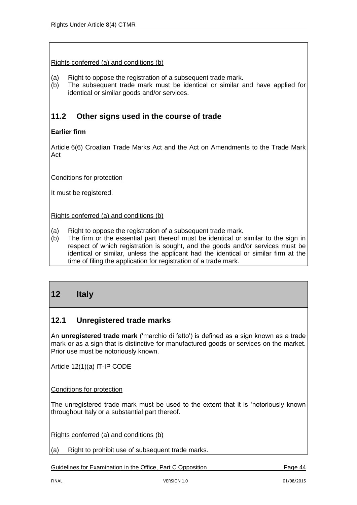- (a) Right to oppose the registration of a subsequent trade mark.
- (b) The subsequent trade mark must be identical or similar and have applied for identical or similar goods and/or services.

# **11.2 Other signs used in the course of trade**

#### **Earlier firm**

Article 6(6) Croatian Trade Marks Act and the Act on Amendments to the Trade Mark Act

Conditions for protection

It must be registered.

Rights conferred (a) and conditions (b)

- (a) Right to oppose the registration of a subsequent trade mark.
- (b) The firm or the essential part thereof must be identical or similar to the sign in respect of which registration is sought, and the goods and/or services must be identical or similar, unless the applicant had the identical or similar firm at the time of filing the application for registration of a trade mark.

# **12 Italy**

## **12.1 Unregistered trade marks**

An **unregistered trade mark** ('marchio di fatto') is defined as a sign known as a trade mark or as a sign that is distinctive for manufactured goods or services on the market. Prior use must be notoriously known.

Article 12(1)(a) IT-IP CODE

Conditions for protection

The unregistered trade mark must be used to the extent that it is 'notoriously known throughout Italy or a substantial part thereof.

Rights conferred (a) and conditions (b)

(a) Right to prohibit use of subsequent trade marks.

Guidelines for Examination in the Office, Part C Opposition **Page 44** Page 44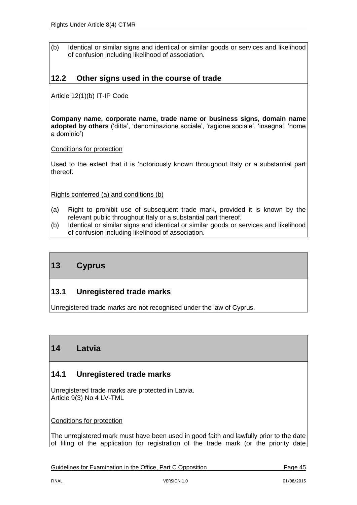(b) Identical or similar signs and identical or similar goods or services and likelihood of confusion including likelihood of association.

# **12.2 Other signs used in the course of trade**

Article 12(1)(b) IT-IP Code

**Company name, corporate name, trade name or business signs, domain name adopted by others** ('ditta', 'denominazione sociale', 'ragione sociale', 'insegna', 'nome a dominio')

Conditions for protection

Used to the extent that it is 'notoriously known throughout Italy or a substantial part thereof.

Rights conferred (a) and conditions (b)

- (a) Right to prohibit use of subsequent trade mark, provided it is known by the relevant public throughout Italy or a substantial part thereof.
- (b) Identical or similar signs and identical or similar goods or services and likelihood of confusion including likelihood of association.

# **13 Cyprus**

## **13.1 Unregistered trade marks**

Unregistered trade marks are not recognised under the law of Cyprus.

# **14 Latvia**

## **14.1 Unregistered trade marks**

Unregistered trade marks are protected in Latvia. Article 9(3) No 4 LV-TML

#### Conditions for protection

The unregistered mark must have been used in good faith and lawfully prior to the date of filing of the application for registration of the trade mark (or the priority date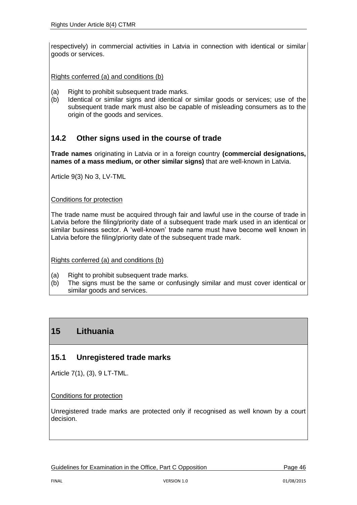respectively) in commercial activities in Latvia in connection with identical or similar goods or services.

Rights conferred (a) and conditions (b)

- (a) Right to prohibit subsequent trade marks.
- (b) Identical or similar signs and identical or similar goods or services; use of the subsequent trade mark must also be capable of misleading consumers as to the origin of the goods and services.

### **14.2 Other signs used in the course of trade**

**Trade names** originating in Latvia or in a foreign country **(commercial designations, names of a mass medium, or other similar signs)** that are well-known in Latvia.

Article 9(3) No 3, LV-TML

Conditions for protection

The trade name must be acquired through fair and lawful use in the course of trade in Latvia before the filing/priority date of a subsequent trade mark used in an identical or similar business sector. A 'well-known' trade name must have become well known in Latvia before the filing/priority date of the subsequent trade mark.

Rights conferred (a) and conditions (b)

- (a) Right to prohibit subsequent trade marks.
- (b) The signs must be the same or confusingly similar and must cover identical or similar goods and services.

# **15 Lithuania**

## **15.1 Unregistered trade marks**

Article 7(1), (3), 9 LT-TML.

Conditions for protection

Unregistered trade marks are protected only if recognised as well known by a court decision.

Guidelines for Examination in the Office, Part C Opposition **Page 46**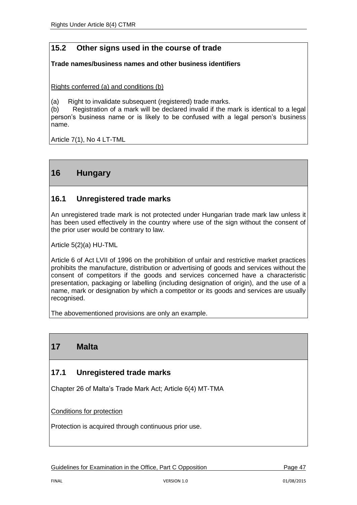# **15.2 Other signs used in the course of trade**

#### **Trade names/business names and other business identifiers**

Rights conferred (a) and conditions (b)

(a) Right to invalidate subsequent (registered) trade marks.

(b) Registration of a mark will be declared invalid if the mark is identical to a legal person's business name or is likely to be confused with a legal person's business name.

Article 7(1), No 4 LT-TML

# **16 Hungary**

### **16.1 Unregistered trade marks**

An unregistered trade mark is not protected under Hungarian trade mark law unless it has been used effectively in the country where use of the sign without the consent of the prior user would be contrary to law.

Article 5(2)(a) HU-TML

Article 6 of Act LVII of 1996 on the prohibition of unfair and restrictive market practices prohibits the manufacture, distribution or advertising of goods and services without the consent of competitors if the goods and services concerned have a characteristic presentation, packaging or labelling (including designation of origin), and the use of a name, mark or designation by which a competitor or its goods and services are usually recognised.

The abovementioned provisions are only an example.

# **17 Malta**

### **17.1 Unregistered trade marks**

Chapter 26 of Malta's Trade Mark Act; Article 6(4) MT‐TMA

Conditions for protection

Protection is acquired through continuous prior use.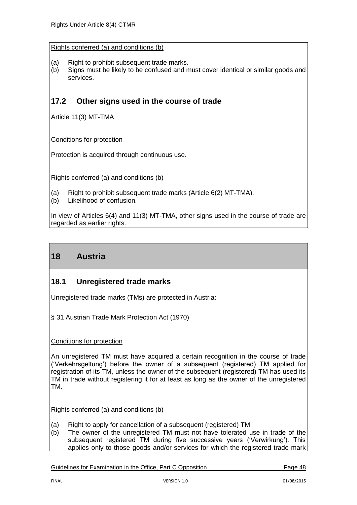- (a) Right to prohibit subsequent trade marks.
- (b) Signs must be likely to be confused and must cover identical or similar goods and services.

# **17.2 Other signs used in the course of trade**

Article 11(3) MT-TMA

Conditions for protection

Protection is acquired through continuous use.

Rights conferred (a) and conditions (b)

- (a) Right to prohibit subsequent trade marks (Article 6(2) MT-TMA).
- (b) Likelihood of confusion.

In view of Articles 6(4) and 11(3) MT-TMA, other signs used in the course of trade are regarded as earlier rights.

# **18 Austria**

## **18.1 Unregistered trade marks**

Unregistered trade marks (TMs) are protected in Austria:

§ 31 Austrian Trade Mark Protection Act (1970)

#### Conditions for protection

An unregistered TM must have acquired a certain recognition in the course of trade ('Verkehrsgeltung') before the owner of a subsequent (registered) TM applied for registration of its TM, unless the owner of the subsequent (registered) TM has used its TM in trade without registering it for at least as long as the owner of the unregistered TM.

Rights conferred (a) and conditions (b)

- (a) Right to apply for cancellation of a subsequent (registered) TM.
- (b) The owner of the unregistered TM must not have tolerated use in trade of the subsequent registered TM during five successive years ('Verwirkung'). This applies only to those goods and/or services for which the registered trade mark

Guidelines for Examination in the Office, Part C Opposition **Page 48**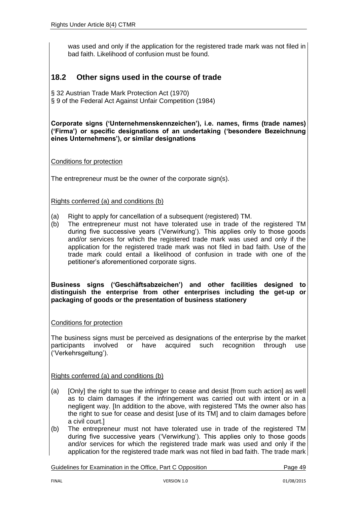was used and only if the application for the registered trade mark was not filed in bad faith. Likelihood of confusion must be found.

# **18.2 Other signs used in the course of trade**

§ 32 Austrian Trade Mark Protection Act (1970) § 9 of the Federal Act Against Unfair Competition (1984)

**Corporate signs ('Unternehmenskennzeichen'), i.e. names, firms (trade names) ('Firma') or specific designations of an undertaking ('besondere Bezeichnung eines Unternehmens'), or similar designations**

Conditions for protection

The entrepreneur must be the owner of the corporate sign(s).

Rights conferred (a) and conditions (b)

- (a) Right to apply for cancellation of a subsequent (registered) TM.
- (b) The entrepreneur must not have tolerated use in trade of the registered TM during five successive years ('Verwirkung'). This applies only to those goods and/or services for which the registered trade mark was used and only if the application for the registered trade mark was not filed in bad faith. Use of the trade mark could entail a likelihood of confusion in trade with one of the petitioner's aforementioned corporate signs.

**Business signs ('Geschäftsabzeichen') and other facilities designed to distinguish the enterprise from other enterprises including the get-up or packaging of goods or the presentation of business stationery**

Conditions for protection

The business signs must be perceived as designations of the enterprise by the market participants involved or have acquired such recognition through use ('Verkehrsgeltung').

Rights conferred (a) and conditions (b)

- (a) [Only] the right to sue the infringer to cease and desist [from such action] as well as to claim damages if the infringement was carried out with intent or in a negligent way. [In addition to the above, with registered TMs the owner also has the right to sue for cease and desist [use of its TM] and to claim damages before a civil court.]
- (b) The entrepreneur must not have tolerated use in trade of the registered TM during five successive years ('Verwirkung'). This applies only to those goods and/or services for which the registered trade mark was used and only if the application for the registered trade mark was not filed in bad faith. The trade mark

Guidelines for Examination in the Office, Part C Opposition **Page 49** Page 49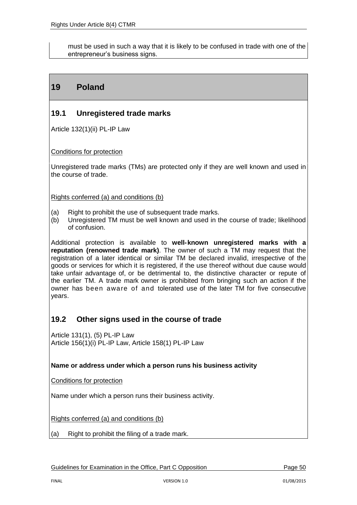must be used in such a way that it is likely to be confused in trade with one of the entrepreneur's business signs.

# **19 Poland**

# **19.1 Unregistered trade marks**

Article 132(1)(ii) PL-IP Law

Conditions for protection

Unregistered trade marks (TMs) are protected only if they are well known and used in the course of trade.

Rights conferred (a) and conditions (b)

- (a) Right to prohibit the use of subsequent trade marks.
- (b) Unregistered TM must be well known and used in the course of trade; likelihood of confusion.

Additional protection is available to **well-known unregistered marks with a reputation (renowned trade mark)**. The owner of such a TM may request that the registration of a later identical or similar TM be declared invalid, irrespective of the goods or services for which it is registered, if the use thereof without due cause would take unfair advantage of, or be detrimental to, the distinctive character or repute of the earlier TM. A trade mark owner is prohibited from bringing such an action if the owner has been aware of and tolerated use of the later TM for five consecutive years.

## **19.2 Other signs used in the course of trade**

Article 131(1), (5) PL-IP Law Article 156(1)(i) PL-IP Law, Article 158(1) PL-IP Law

#### **Name or address under which a person runs his business activity**

Conditions for protection

Name under which a person runs their business activity.

Rights conferred (a) and conditions (b)

(a) Right to prohibit the filing of a trade mark.

Guidelines for Examination in the Office, Part C Opposition **Page 10** Page 50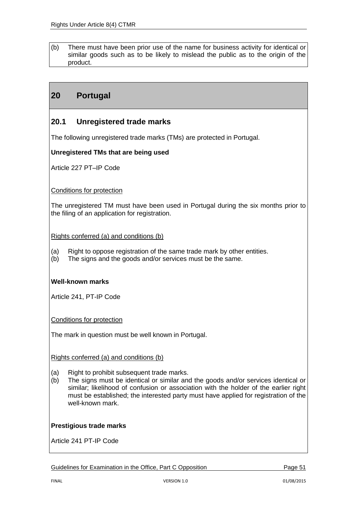(b) There must have been prior use of the name for business activity for identical or similar goods such as to be likely to mislead the public as to the origin of the product.

# **20 Portugal**

## **20.1 Unregistered trade marks**

The following unregistered trade marks (TMs) are protected in Portugal.

#### **Unregistered TMs that are being used**

Article 227 PT–IP Code

#### Conditions for protection

The unregistered TM must have been used in Portugal during the six months prior to the filing of an application for registration.

Rights conferred (a) and conditions (b)

- (a) Right to oppose registration of the same trade mark by other entities.
- (b) The signs and the goods and/or services must be the same.

#### **Well-known marks**

Article 241, PT-IP Code

Conditions for protection

The mark in question must be well known in Portugal.

#### Rights conferred (a) and conditions (b)

- (a) Right to prohibit subsequent trade marks.
- (b) The signs must be identical or similar and the goods and/or services identical or similar; likelihood of confusion or association with the holder of the earlier right must be established; the interested party must have applied for registration of the well-known mark

#### **Prestigious trade marks**

Article 241 PT-IP Code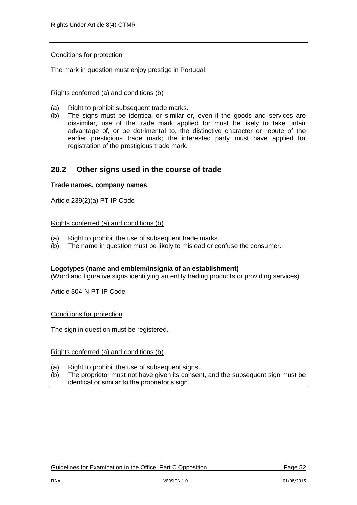#### Conditions for protection

The mark in question must enjoy prestige in Portugal.

#### Rights conferred (a) and conditions (b)

- (a) Right to prohibit subsequent trade marks.
- (b) The signs must be identical or similar or, even if the goods and services are dissimilar, use of the trade mark applied for must be likely to take unfair advantage of, or be detrimental to, the distinctive character or repute of the earlier prestigious trade mark; the interested party must have applied for registration of the prestigious trade mark.

### **20.2 Other signs used in the course of trade**

#### **Trade names, company names**

Article 239(2)(a) PT-IP Code

Rights conferred (a) and conditions (b)

- (a) Right to prohibit the use of subsequent trade marks.
- (b) The name in question must be likely to mislead or confuse the consumer.

**Logotypes (name and emblem/insignia of an establishment)** (Word and figurative signs identifying an entity trading products or providing services)

Article 304-N PT-IP Code

Conditions for protection

The sign in question must be registered.

Rights conferred (a) and conditions (b)

- (a) Right to prohibit the use of subsequent signs.
- (b) The proprietor must not have given its consent, and the subsequent sign must be identical or similar to the proprietor's sign.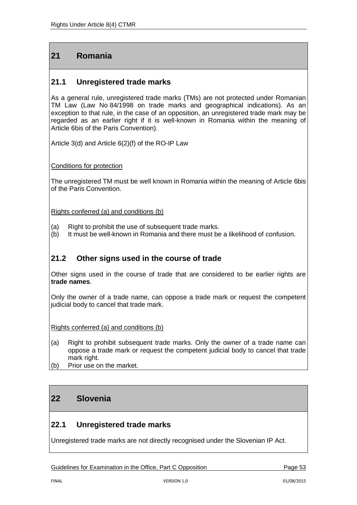# **21 Romania**

# **21.1 Unregistered trade marks**

As a general rule, unregistered trade marks (TMs) are not protected under Romanian TM Law (Law No 84/1998 on trade marks and geographical indications). As an exception to that rule, in the case of an opposition, an unregistered trade mark may be regarded as an earlier right if it is well-known in Romania within the meaning of Article 6bis of the Paris Convention).

Article 3(d) and Article 6(2)(f) of the RO-IP Law

Conditions for protection

The unregistered TM must be well known in Romania within the meaning of Article 6bis of the Paris Convention.

Rights conferred (a) and conditions (b)

- (a) Right to prohibit the use of subsequent trade marks.
- (b) It must be well-known in Romania and there must be a likelihood of confusion.

## **21.2 Other signs used in the course of trade**

Other signs used in the course of trade that are considered to be earlier rights are **trade names**.

Only the owner of a trade name, can oppose a trade mark or request the competent judicial body to cancel that trade mark.

Rights conferred (a) and conditions (b)

- (a) Right to prohibit subsequent trade marks. Only the owner of a trade name can oppose a trade mark or request the competent judicial body to cancel that trade mark right.
- (b) Prior use on the market.

# **22 Slovenia**

## **22.1 Unregistered trade marks**

Unregistered trade marks are not directly recognised under the Slovenian IP Act.

Guidelines for Examination in the Office, Part C Opposition **Page 53**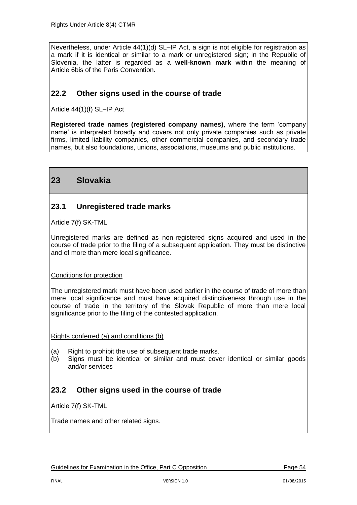Nevertheless, under Article 44(1)(d) SL–IP Act, a sign is not eligible for registration as a mark if it is identical or similar to a mark or unregistered sign; in the Republic of Slovenia, the latter is regarded as a **well-known mark** within the meaning of Article 6bis of the Paris Convention.

# **22.2 Other signs used in the course of trade**

Article 44(1)(f) SL–IP Act

**Registered trade names (registered company names)**, where the term 'company name' is interpreted broadly and covers not only private companies such as private firms, limited liability companies, other commercial companies, and secondary trade names, but also foundations, unions, associations, museums and public institutions.

# **23 Slovakia**

## **23.1 Unregistered trade marks**

Article 7(f) SK-TML

Unregistered marks are defined as non-registered signs acquired and used in the course of trade prior to the filing of a subsequent application. They must be distinctive and of more than mere local significance.

#### Conditions for protection

The unregistered mark must have been used earlier in the course of trade of more than mere local significance and must have acquired distinctiveness through use in the course of trade in the territory of the Slovak Republic of more than mere local significance prior to the filing of the contested application.

Rights conferred (a) and conditions (b)

- (a) Right to prohibit the use of subsequent trade marks.
- (b) Signs must be identical or similar and must cover identical or similar goods and/or services

## **23.2 Other signs used in the course of trade**

Article 7(f) SK-TML

Trade names and other related signs.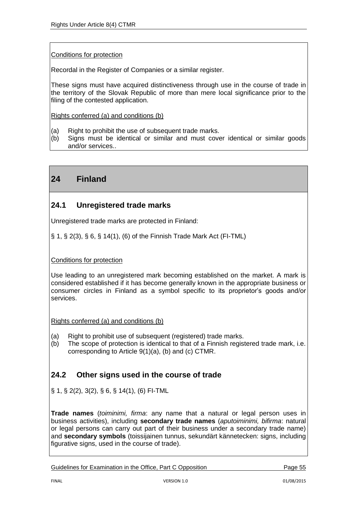#### Conditions for protection

Recordal in the Register of Companies or a similar register.

These signs must have acquired distinctiveness through use in the course of trade in the territory of the Slovak Republic of more than mere local significance prior to the filing of the contested application.

Rights conferred (a) and conditions (b)

- (a) Right to prohibit the use of subsequent trade marks.
- (b) Signs must be identical or similar and must cover identical or similar goods and/or services..

# **24 Finland**

### **24.1 Unregistered trade marks**

Unregistered trade marks are protected in Finland:

§ 1, § 2(3), § 6, § 14(1), (6) of the Finnish Trade Mark Act (FI-TML)

#### Conditions for protection

Use leading to an unregistered mark becoming established on the market. A mark is considered established if it has become generally known in the appropriate business or consumer circles in Finland as a symbol specific to its proprietor's goods and/or services.

Rights conferred (a) and conditions (b)

- (a) Right to prohibit use of subsequent (registered) trade marks.
- (b) The scope of protection is identical to that of a Finnish registered trade mark, i.e. corresponding to Article 9(1)(a), (b) and (c) CTMR.

## **24.2 Other signs used in the course of trade**

§ 1, § 2(2), 3(2), § 6, § 14(1), (6) FI-TML

**Trade names** (*toiminimi, firma*: any name that a natural or legal person uses in business activities), including **secondary trade names** (*aputoiminimi, bifirma*: natural or legal persons can carry out part of their business under a secondary trade name) and **secondary symbols** (toissijainen tunnus, sekundärt kännetecken: signs, including figurative signs, used in the course of trade).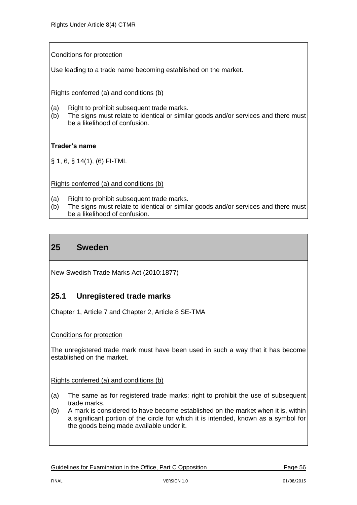#### Conditions for protection

Use leading to a trade name becoming established on the market.

Rights conferred (a) and conditions (b)

- (a) Right to prohibit subsequent trade marks.
- (b) The signs must relate to identical or similar goods and/or services and there must be a likelihood of confusion.

#### **Trader's name**

§ 1, 6, § 14(1), (6) FI-TML

Rights conferred (a) and conditions (b)

- (a) Right to prohibit subsequent trade marks.
- (b) The signs must relate to identical or similar goods and/or services and there must be a likelihood of confusion.

# **25 Sweden**

New Swedish Trade Marks Act (2010:1877)

## **25.1 Unregistered trade marks**

Chapter 1, Article 7 and Chapter 2, Article 8 SE-TMA

#### Conditions for protection

The unregistered trade mark must have been used in such a way that it has become established on the market.

Rights conferred (a) and conditions (b)

- (a) The same as for registered trade marks: right to prohibit the use of subsequent trade marks.
- (b) A mark is considered to have become established on the market when it is, within a significant portion of the circle for which it is intended, known as a symbol for the goods being made available under it.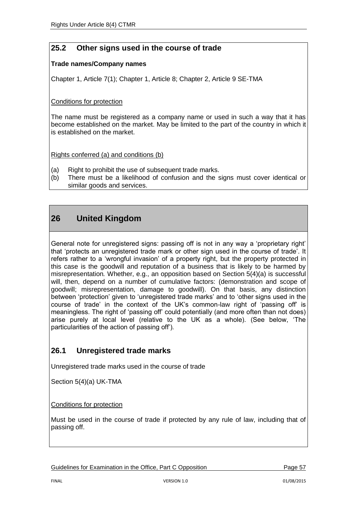# **25.2 Other signs used in the course of trade**

#### **Trade names/Company names**

Chapter 1, Article 7(1); Chapter 1, Article 8; Chapter 2, Article 9 SE-TMA

#### Conditions for protection

The name must be registered as a company name or used in such a way that it has become established on the market. May be limited to the part of the country in which it is established on the market.

Rights conferred (a) and conditions (b)

- (a) Right to prohibit the use of subsequent trade marks.
- (b) There must be a likelihood of confusion and the signs must cover identical or similar goods and services.

# **26 United Kingdom**

General note for unregistered signs: passing off is not in any way a 'proprietary right' that 'protects an unregistered trade mark or other sign used in the course of trade'. It refers rather to a 'wrongful invasion' of a property right, but the property protected in this case is the goodwill and reputation of a business that is likely to be harmed by misrepresentation*.* Whether, e.g., an opposition based on Section 5(4)(a) is successful will, then, depend on a number of cumulative factors: (demonstration and scope of goodwill; misrepresentation, damage to goodwill). On that basis, any distinction between 'protection' given to 'unregistered trade marks' and to 'other signs used in the course of trade' in the context of the UK's common-law right of 'passing off' is meaningless. The right of 'passing off' could potentially (and more often than not does) arise purely at local level (relative to the UK as a whole). (See below, 'The particularities of the action of passing off').

# **26.1 Unregistered trade marks**

Unregistered trade marks used in the course of trade

Section 5(4)(a) UK-TMA

Conditions for protection

Must be used in the course of trade if protected by any rule of law, including that of passing off.

Guidelines for Examination in the Office, Part C Opposition **Page 57** Page 57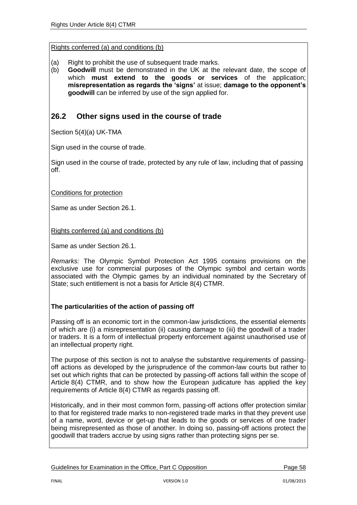- (a) Right to prohibit the use of subsequent trade marks.
- (b) **Goodwill** must be demonstrated in the UK at the relevant date, the scope of which **must extend to the goods or services** of the application; **misrepresentation as regards the 'signs'** at issue; **damage to the opponent's goodwill** can be inferred by use of the sign applied for.

## **26.2 Other signs used in the course of trade**

Section 5(4)(a) UK-TMA

Sign used in the course of trade.

Sign used in the course of trade, protected by any rule of law, including that of passing off.

Conditions for protection

Same as under Section 26.1.

Rights conferred (a) and conditions (b)

Same as under Section 26.1.

*Remarks:* The Olympic Symbol Protection Act 1995 contains provisions on the exclusive use for commercial purposes of the Olympic symbol and certain words associated with the Olympic games by an individual nominated by the Secretary of State; such entitlement is not a basis for Article 8(4) CTMR.

#### **The particularities of the action of passing off**

Passing off is an economic tort in the common-law jurisdictions, the essential elements of which are (i) a misrepresentation (ii) causing damage to (iii) the goodwill of a trader or traders. It is a form of intellectual property enforcement against unauthorised use of an intellectual property right.

The purpose of this section is not to analyse the substantive requirements of passingoff actions as developed by the jurisprudence of the common-law courts but rather to set out which rights that can be protected by passing-off actions fall within the scope of Article 8(4) CTMR, and to show how the European judicature has applied the key requirements of Article 8(4) CTMR as regards passing off.

Historically, and in their most common form, passing-off actions offer protection similar to that for registered trade marks to non-registered trade marks in that they prevent use of a name, word, device or get-up that leads to the goods or services of one trader being misrepresented as those of another. In doing so, passing-off actions protect the goodwill that traders accrue by using signs rather than protecting signs per se.